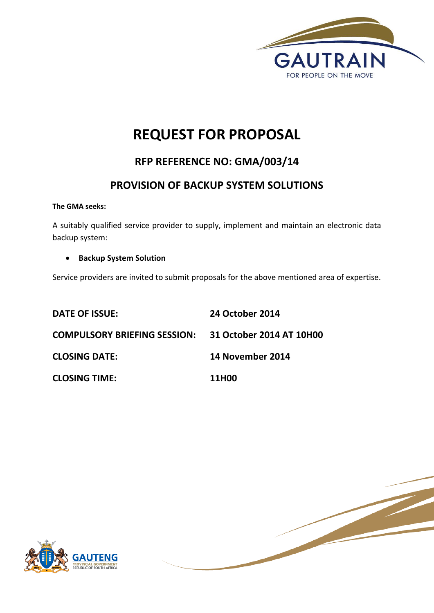

# **REQUEST FOR PROPOSAL**

## **RFP REFERENCE NO: GMA/003/14**

## **PROVISION OF BACKUP SYSTEM SOLUTIONS**

**The GMA seeks:**

A suitably qualified service provider to supply, implement and maintain an electronic data backup system:

**•** Backup System Solution

Service providers are invited to submit proposals for the above mentioned area of expertise.

| <b>DATE OF ISSUE:</b>                                 | <b>24 October 2014</b> |
|-------------------------------------------------------|------------------------|
| COMPULSORY BRIEFING SESSION: 31 October 2014 AT 10H00 |                        |
| <b>CLOSING DATE:</b>                                  | 14 November 2014       |
| <b>CLOSING TIME:</b>                                  | 11H00                  |



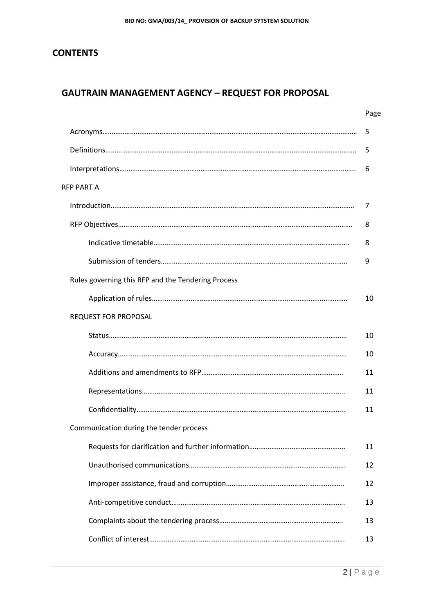## **CONTENTS**

## **GAUTRAIN MANAGEMENT AGENCY – REQUEST FOR PROPOSAL**

|                                                    | Page |
|----------------------------------------------------|------|
|                                                    | 5    |
|                                                    | 5    |
|                                                    | 6    |
| <b>RFP PART A</b>                                  |      |
|                                                    | 7    |
|                                                    | 8    |
|                                                    | 8    |
|                                                    | 9    |
| Rules governing this RFP and the Tendering Process |      |
|                                                    | 10   |
| <b>REQUEST FOR PROPOSAL</b>                        |      |
|                                                    | 10   |
|                                                    | 10   |
|                                                    | 11   |
|                                                    | 11   |
|                                                    | 11   |
| Communication during the tender process            |      |
|                                                    | 11   |
|                                                    | 12   |
|                                                    | 12   |
|                                                    | 13   |
|                                                    | 13   |
|                                                    | 13   |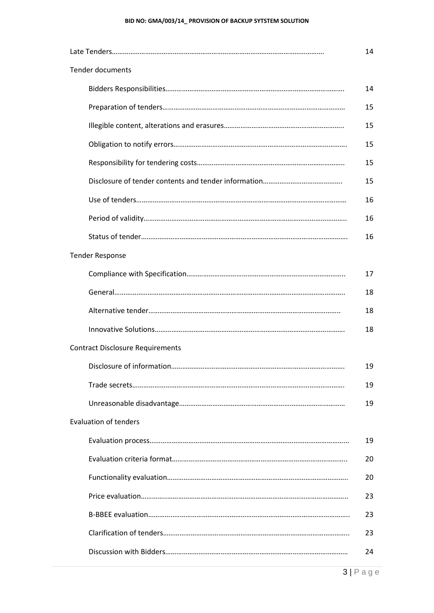#### **BID NO: GMA/003/14\_ PROVISION OF BACKUP SYTSTEM SOLUTION**

| <b>Tender documents</b>                 |    |  |  |
|-----------------------------------------|----|--|--|
|                                         | 14 |  |  |
|                                         | 15 |  |  |
|                                         | 15 |  |  |
|                                         | 15 |  |  |
|                                         | 15 |  |  |
|                                         | 15 |  |  |
|                                         | 16 |  |  |
|                                         | 16 |  |  |
|                                         | 16 |  |  |
| <b>Tender Response</b>                  |    |  |  |
|                                         | 17 |  |  |
|                                         | 18 |  |  |
|                                         | 18 |  |  |
|                                         | 18 |  |  |
| <b>Contract Disclosure Requirements</b> |    |  |  |
|                                         | 19 |  |  |
|                                         | 19 |  |  |
|                                         | 19 |  |  |
| <b>Evaluation of tenders</b>            |    |  |  |
|                                         | 19 |  |  |
|                                         | 20 |  |  |
|                                         | 20 |  |  |
|                                         | 23 |  |  |
|                                         | 23 |  |  |
|                                         | 23 |  |  |
|                                         | 24 |  |  |
|                                         |    |  |  |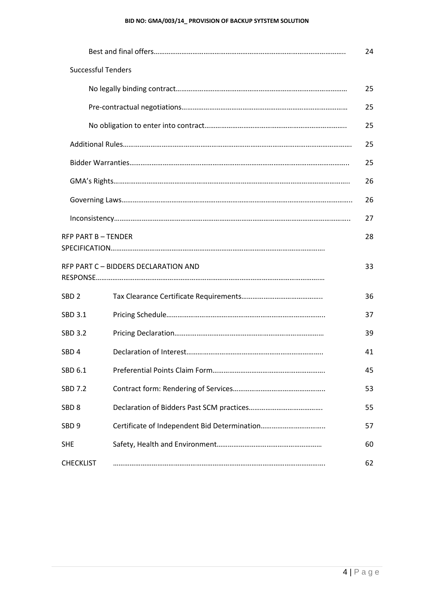#### **BID NO: GMA/003/14\_ PROVISION OF BACKUP SYTSTEM SOLUTION**

|                           |                                      | 24 |
|---------------------------|--------------------------------------|----|
| <b>Successful Tenders</b> |                                      |    |
|                           |                                      | 25 |
|                           |                                      | 25 |
|                           |                                      | 25 |
|                           |                                      | 25 |
|                           |                                      | 25 |
|                           |                                      | 26 |
|                           |                                      | 26 |
|                           |                                      | 27 |
| <b>RFP PART B-TENDER</b>  |                                      | 28 |
|                           | RFP PART C - BIDDERS DECLARATION AND | 33 |
| SBD <sub>2</sub>          |                                      | 36 |
| SBD 3.1                   |                                      | 37 |
| <b>SBD 3.2</b>            |                                      | 39 |
| SBD <sub>4</sub>          |                                      | 41 |
| SBD 6.1                   |                                      | 45 |
| <b>SBD 7.2</b>            |                                      | 53 |
| SBD <sub>8</sub>          |                                      | 55 |
| SBD <sub>9</sub>          |                                      | 57 |
| SHE                       |                                      | 60 |
| <b>CHECKLIST</b>          |                                      | 62 |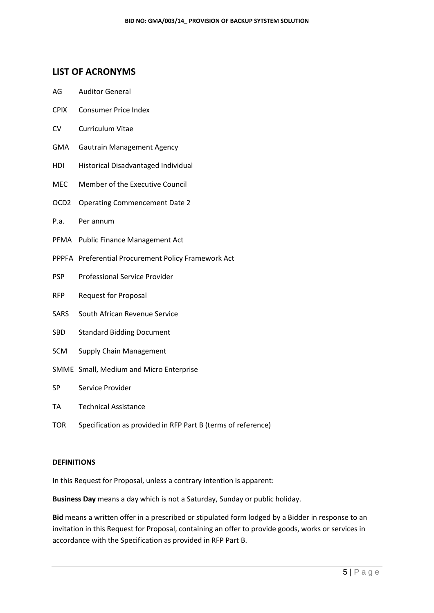## **LIST OF ACRONYMS**

- AG Auditor General
- CPIX Consumer Price Index
- CV Curriculum Vitae
- GMA Gautrain Management Agency
- HDI Historical Disadvantaged Individual
- MEC Member of the Executive Council
- OCD2 Operating Commencement Date 2
- P.a. Per annum
- PFMA Public Finance Management Act
- PPPFA Preferential Procurement Policy Framework Act
- PSP Professional Service Provider
- RFP Request for Proposal
- SARS South African Revenue Service
- SBD Standard Bidding Document
- SCM Supply Chain Management
- SMME Small, Medium and Micro Enterprise
- SP Service Provider
- TA Technical Assistance
- TOR Specification as provided in RFP Part B (terms of reference)

#### **DEFINITIONS**

In this Request for Proposal, unless a contrary intention is apparent:

**Business Day** means a day which is not a Saturday, Sunday or public holiday.

**Bid** means a written offer in a prescribed or stipulated form lodged by a Bidder in response to an invitation in this Request for Proposal, containing an offer to provide goods, works or services in accordance with the Specification as provided in RFP Part B.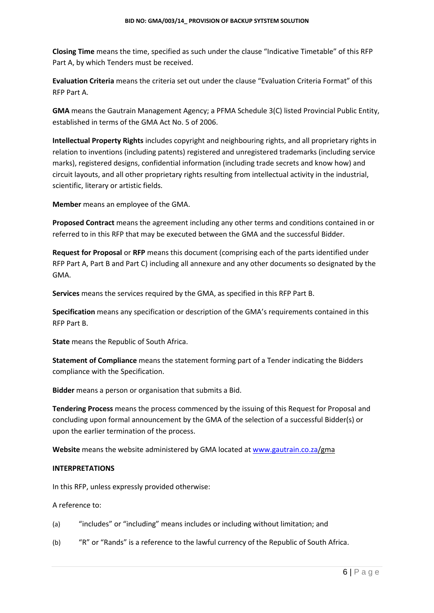**Closing Time** means the time, specified as such under the clause "Indicative Timetable" of this RFP Part A, by which Tenders must be received.

**Evaluation Criteria** means the criteria set out under the clause "Evaluation Criteria Format" of this RFP Part A.

**GMA** means the Gautrain Management Agency; a PFMA Schedule 3(C) listed Provincial Public Entity, established in terms of the GMA Act No. 5 of 2006.

**Intellectual Property Rights** includes copyright and neighbouring rights, and all proprietary rights in relation to inventions (including patents) registered and unregistered trademarks (including service marks), registered designs, confidential information (including trade secrets and know how) and circuit layouts, and all other proprietary rights resulting from intellectual activity in the industrial, scientific, literary or artistic fields.

**Member** means an employee of the GMA.

**Proposed Contract** means the agreement including any other terms and conditions contained in or referred to in this RFP that may be executed between the GMA and the successful Bidder.

**Request for Proposal** or **RFP** means this document (comprising each of the parts identified under RFP Part A, Part B and Part C) including all annexure and any other documents so designated by the GMA.

**Services** means the services required by the GMA, as specified in this RFP Part B.

**Specification** means any specification or description of the GMA's requirements contained in this RFP Part B.

**State** means the Republic of South Africa.

**Statement of Compliance** means the statement forming part of a Tender indicating the Bidders compliance with the Specification.

**Bidder** means a person or organisation that submits a Bid.

**Tendering Process** means the process commenced by the issuing of this Request for Proposal and concluding upon formal announcement by the GMA of the selection of a successful Bidder(s) or upon the earlier termination of the process.

**Website** means the website administered by GMA located a[t www.gautrain.co.za/](http://www.gautrain.co.za/)gma

#### **INTERPRETATIONS**

In this RFP, unless expressly provided otherwise:

A reference to:

(a) "includes" or "including" means includes or including without limitation; and

(b) "R" or "Rands" is a reference to the lawful currency of the Republic of South Africa.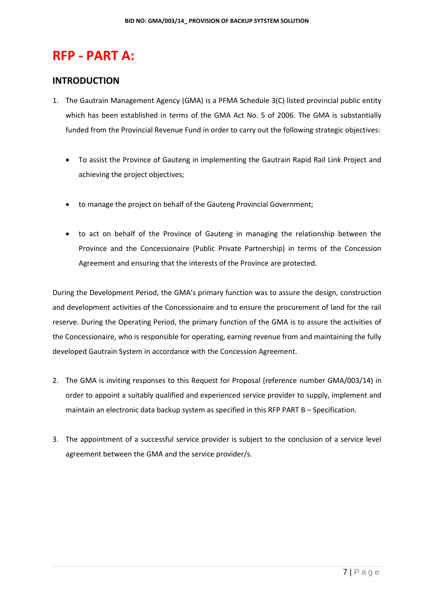# **RFP - PART A:**

## **INTRODUCTION**

- 1. The Gautrain Management Agency (GMA) is a PFMA Schedule 3(C) listed provincial public entity which has been established in terms of the GMA Act No. 5 of 2006. The GMA is substantially funded from the Provincial Revenue Fund in order to carry out the following strategic objectives:
	- To assist the Province of Gauteng in implementing the Gautrain Rapid Rail Link Project and achieving the project objectives;
	- to manage the project on behalf of the Gauteng Provincial Government;
	- to act on behalf of the Province of Gauteng in managing the relationship between the Province and the Concessionaire (Public Private Partnership) in terms of the Concession Agreement and ensuring that the interests of the Province are protected.

During the Development Period, the GMA's primary function was to assure the design, construction and development activities of the Concessionaire and to ensure the procurement of land for the rail reserve. During the Operating Period, the primary function of the GMA is to assure the activities of the Concessionaire, who is responsible for operating, earning revenue from and maintaining the fully developed Gautrain System in accordance with the Concession Agreement.

- 2. The GMA is inviting responses to this Request for Proposal (reference number GMA/003/14) in order to appoint a suitably qualified and experienced service provider to supply, implement and maintain an electronic data backup system as specified in this RFP PART B – Specification.
- 3. The appointment of a successful service provider is subject to the conclusion of a service level agreement between the GMA and the service provider/s.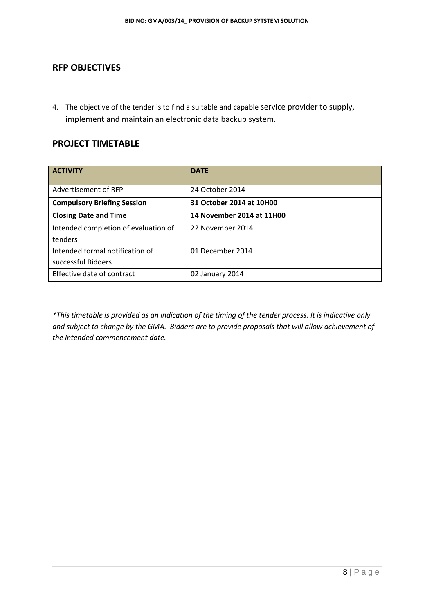## **RFP OBJECTIVES**

4. The objective of the tender is to find a suitable and capable service provider to supply, implement and maintain an electronic data backup system.

## **PROJECT TIMETABLE**

| <b>ACTIVITY</b>                      | <b>DATE</b>               |
|--------------------------------------|---------------------------|
| Advertisement of RFP                 | 24 October 2014           |
| <b>Compulsory Briefing Session</b>   | 31 October 2014 at 10H00  |
| <b>Closing Date and Time</b>         | 14 November 2014 at 11H00 |
| Intended completion of evaluation of | 22 November 2014          |
| tenders                              |                           |
| Intended formal notification of      | 01 December 2014          |
| successful Bidders                   |                           |
| Effective date of contract           | 02 January 2014           |

*\*This timetable is provided as an indication of the timing of the tender process. It is indicative only and subject to change by the GMA. Bidders are to provide proposals that will allow achievement of the intended commencement date.*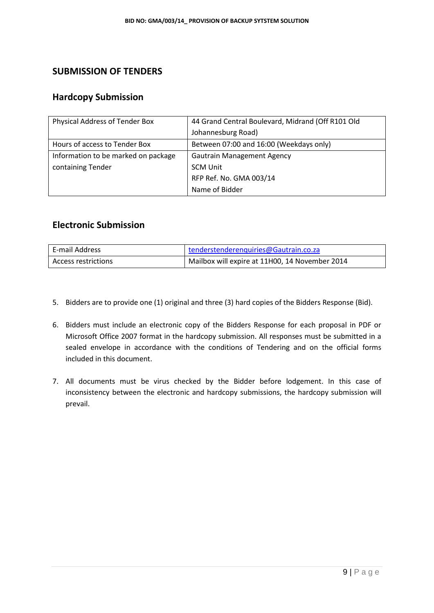## **SUBMISSION OF TENDERS**

## **Hardcopy Submission**

| Physical Address of Tender Box      | 44 Grand Central Boulevard, Midrand (Off R101 Old |
|-------------------------------------|---------------------------------------------------|
|                                     | Johannesburg Road)                                |
| Hours of access to Tender Box       | Between 07:00 and 16:00 (Weekdays only)           |
| Information to be marked on package | <b>Gautrain Management Agency</b>                 |
| containing Tender                   | <b>SCM Unit</b>                                   |
|                                     | RFP Ref. No. GMA 003/14                           |
|                                     | Name of Bidder                                    |

## **Electronic Submission**

| E-mail Address      | tenderstenderenquiries@Gautrain.co.za          |
|---------------------|------------------------------------------------|
| Access restrictions | Mailbox will expire at 11H00, 14 November 2014 |

- 5. Bidders are to provide one (1) original and three (3) hard copies of the Bidders Response (Bid).
- 6. Bidders must include an electronic copy of the Bidders Response for each proposal in PDF or Microsoft Office 2007 format in the hardcopy submission. All responses must be submitted in a sealed envelope in accordance with the conditions of Tendering and on the official forms included in this document.
- 7. All documents must be virus checked by the Bidder before lodgement. In this case of inconsistency between the electronic and hardcopy submissions, the hardcopy submission will prevail.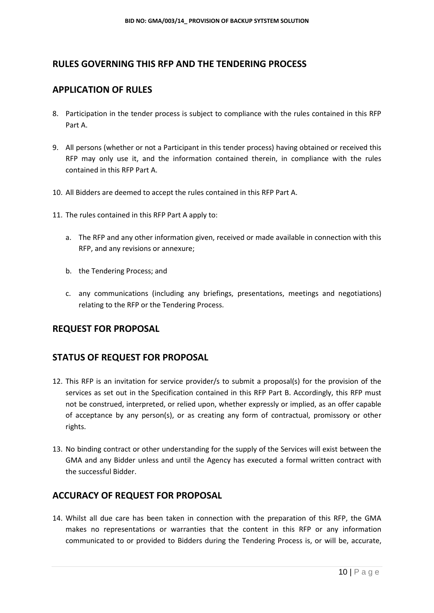## **RULES GOVERNING THIS RFP AND THE TENDERING PROCESS**

## **APPLICATION OF RULES**

- 8. Participation in the tender process is subject to compliance with the rules contained in this RFP Part A.
- 9. All persons (whether or not a Participant in this tender process) having obtained or received this RFP may only use it, and the information contained therein, in compliance with the rules contained in this RFP Part A.
- 10. All Bidders are deemed to accept the rules contained in this RFP Part A.
- 11. The rules contained in this RFP Part A apply to:
	- a. The RFP and any other information given, received or made available in connection with this RFP, and any revisions or annexure;
	- b. the Tendering Process; and
	- c. any communications (including any briefings, presentations, meetings and negotiations) relating to the RFP or the Tendering Process.

## **REQUEST FOR PROPOSAL**

#### **STATUS OF REQUEST FOR PROPOSAL**

- 12. This RFP is an invitation for service provider/s to submit a proposal(s) for the provision of the services as set out in the Specification contained in this RFP Part B. Accordingly, this RFP must not be construed, interpreted, or relied upon, whether expressly or implied, as an offer capable of acceptance by any person(s), or as creating any form of contractual, promissory or other rights.
- 13. No binding contract or other understanding for the supply of the Services will exist between the GMA and any Bidder unless and until the Agency has executed a formal written contract with the successful Bidder.

## **ACCURACY OF REQUEST FOR PROPOSAL**

14. Whilst all due care has been taken in connection with the preparation of this RFP, the GMA makes no representations or warranties that the content in this RFP or any information communicated to or provided to Bidders during the Tendering Process is, or will be, accurate,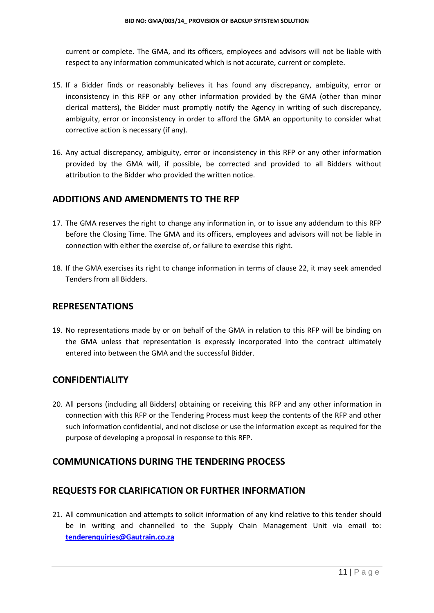current or complete. The GMA, and its officers, employees and advisors will not be liable with respect to any information communicated which is not accurate, current or complete.

- 15. If a Bidder finds or reasonably believes it has found any discrepancy, ambiguity, error or inconsistency in this RFP or any other information provided by the GMA (other than minor clerical matters), the Bidder must promptly notify the Agency in writing of such discrepancy, ambiguity, error or inconsistency in order to afford the GMA an opportunity to consider what corrective action is necessary (if any).
- 16. Any actual discrepancy, ambiguity, error or inconsistency in this RFP or any other information provided by the GMA will, if possible, be corrected and provided to all Bidders without attribution to the Bidder who provided the written notice.

#### **ADDITIONS AND AMENDMENTS TO THE RFP**

- 17. The GMA reserves the right to change any information in, or to issue any addendum to this RFP before the Closing Time. The GMA and its officers, employees and advisors will not be liable in connection with either the exercise of, or failure to exercise this right.
- 18. If the GMA exercises its right to change information in terms of clause 22, it may seek amended Tenders from all Bidders.

#### **REPRESENTATIONS**

19. No representations made by or on behalf of the GMA in relation to this RFP will be binding on the GMA unless that representation is expressly incorporated into the contract ultimately entered into between the GMA and the successful Bidder.

#### **CONFIDENTIALITY**

20. All persons (including all Bidders) obtaining or receiving this RFP and any other information in connection with this RFP or the Tendering Process must keep the contents of the RFP and other such information confidential, and not disclose or use the information except as required for the purpose of developing a proposal in response to this RFP.

## **COMMUNICATIONS DURING THE TENDERING PROCESS**

#### **REQUESTS FOR CLARIFICATION OR FURTHER INFORMATION**

21. All communication and attempts to solicit information of any kind relative to this tender should be in writing and channelled to the Supply Chain Management Unit via email to: **[tenderenquiries@Gautrain.co.za](mailto:tenderenquiries@Gautrain.co.za)**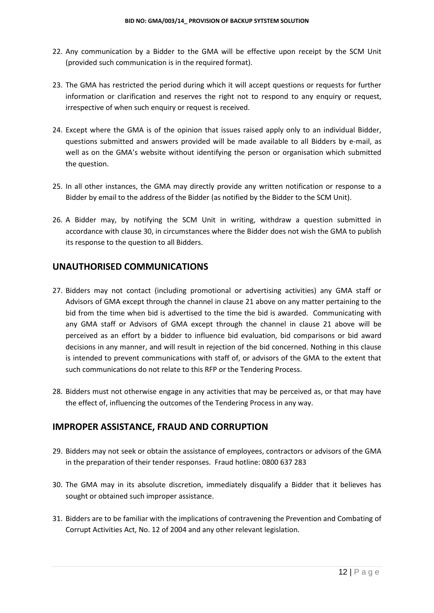- 22. Any communication by a Bidder to the GMA will be effective upon receipt by the SCM Unit (provided such communication is in the required format).
- 23. The GMA has restricted the period during which it will accept questions or requests for further information or clarification and reserves the right not to respond to any enquiry or request, irrespective of when such enquiry or request is received.
- 24. Except where the GMA is of the opinion that issues raised apply only to an individual Bidder, questions submitted and answers provided will be made available to all Bidders by e-mail, as well as on the GMA's website without identifying the person or organisation which submitted the question.
- 25. In all other instances, the GMA may directly provide any written notification or response to a Bidder by email to the address of the Bidder (as notified by the Bidder to the SCM Unit).
- 26. A Bidder may, by notifying the SCM Unit in writing, withdraw a question submitted in accordance with clause 30, in circumstances where the Bidder does not wish the GMA to publish its response to the question to all Bidders.

#### **UNAUTHORISED COMMUNICATIONS**

- 27. Bidders may not contact (including promotional or advertising activities) any GMA staff or Advisors of GMA except through the channel in clause 21 above on any matter pertaining to the bid from the time when bid is advertised to the time the bid is awarded. Communicating with any GMA staff or Advisors of GMA except through the channel in clause 21 above will be perceived as an effort by a bidder to influence bid evaluation, bid comparisons or bid award decisions in any manner, and will result in rejection of the bid concerned. Nothing in this clause is intended to prevent communications with staff of, or advisors of the GMA to the extent that such communications do not relate to this RFP or the Tendering Process.
- 28. Bidders must not otherwise engage in any activities that may be perceived as, or that may have the effect of, influencing the outcomes of the Tendering Process in any way.

#### **IMPROPER ASSISTANCE, FRAUD AND CORRUPTION**

- 29. Bidders may not seek or obtain the assistance of employees, contractors or advisors of the GMA in the preparation of their tender responses. Fraud hotline: 0800 637 283
- 30. The GMA may in its absolute discretion, immediately disqualify a Bidder that it believes has sought or obtained such improper assistance.
- 31. Bidders are to be familiar with the implications of contravening the Prevention and Combating of Corrupt Activities Act, No. 12 of 2004 and any other relevant legislation.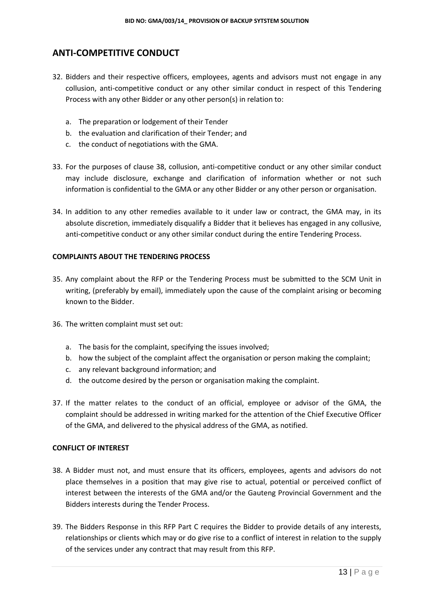## **ANTI-COMPETITIVE CONDUCT**

- 32. Bidders and their respective officers, employees, agents and advisors must not engage in any collusion, anti-competitive conduct or any other similar conduct in respect of this Tendering Process with any other Bidder or any other person(s) in relation to:
	- a. The preparation or lodgement of their Tender
	- b. the evaluation and clarification of their Tender; and
	- c. the conduct of negotiations with the GMA.
- 33. For the purposes of clause 38, collusion, anti-competitive conduct or any other similar conduct may include disclosure, exchange and clarification of information whether or not such information is confidential to the GMA or any other Bidder or any other person or organisation.
- 34. In addition to any other remedies available to it under law or contract, the GMA may, in its absolute discretion, immediately disqualify a Bidder that it believes has engaged in any collusive, anti-competitive conduct or any other similar conduct during the entire Tendering Process.

#### **COMPLAINTS ABOUT THE TENDERING PROCESS**

- 35. Any complaint about the RFP or the Tendering Process must be submitted to the SCM Unit in writing, (preferably by email), immediately upon the cause of the complaint arising or becoming known to the Bidder.
- 36. The written complaint must set out:
	- a. The basis for the complaint, specifying the issues involved;
	- b. how the subject of the complaint affect the organisation or person making the complaint;
	- c. any relevant background information; and
	- d. the outcome desired by the person or organisation making the complaint.
- 37. If the matter relates to the conduct of an official, employee or advisor of the GMA, the complaint should be addressed in writing marked for the attention of the Chief Executive Officer of the GMA, and delivered to the physical address of the GMA, as notified.

#### **CONFLICT OF INTEREST**

- 38. A Bidder must not, and must ensure that its officers, employees, agents and advisors do not place themselves in a position that may give rise to actual, potential or perceived conflict of interest between the interests of the GMA and/or the Gauteng Provincial Government and the Bidders interests during the Tender Process.
- 39. The Bidders Response in this RFP Part C requires the Bidder to provide details of any interests, relationships or clients which may or do give rise to a conflict of interest in relation to the supply of the services under any contract that may result from this RFP.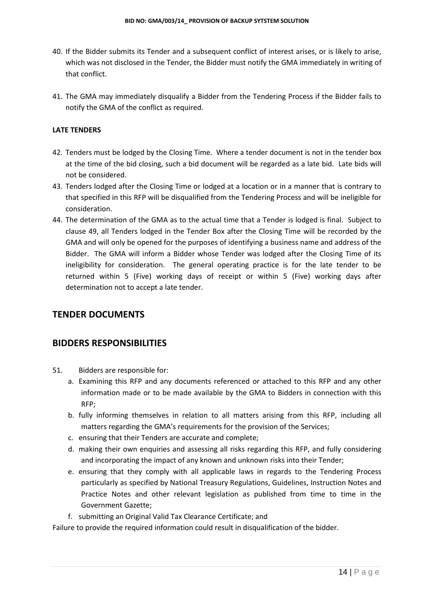- 40. If the Bidder submits its Tender and a subsequent conflict of interest arises, or is likely to arise, which was not disclosed in the Tender, the Bidder must notify the GMA immediately in writing of that conflict.
- 41. The GMA may immediately disqualify a Bidder from the Tendering Process if the Bidder fails to notify the GMA of the conflict as required.

#### **LATE TENDERS**

- 42. Tenders must be lodged by the Closing Time. Where a tender document is not in the tender box at the time of the bid closing, such a bid document will be regarded as a late bid. Late bids will not be considered.
- 43. Tenders lodged after the Closing Time or lodged at a location or in a manner that is contrary to that specified in this RFP will be disqualified from the Tendering Process and will be ineligible for consideration.
- 44. The determination of the GMA as to the actual time that a Tender is lodged is final. Subject to clause 49, all Tenders lodged in the Tender Box after the Closing Time will be recorded by the GMA and will only be opened for the purposes of identifying a business name and address of the Bidder. The GMA will inform a Bidder whose Tender was lodged after the Closing Time of its ineligibility for consideration. The general operating practice is for the late tender to be returned within 5 (Five) working days of receipt or within 5 (Five) working days after determination not to accept a late tender.

#### **TENDER DOCUMENTS**

#### **BIDDERS RESPONSIBILITIES**

- 51. Bidders are responsible for:
	- a. Examining this RFP and any documents referenced or attached to this RFP and any other information made or to be made available by the GMA to Bidders in connection with this RFP;
	- b. fully informing themselves in relation to all matters arising from this RFP, including all matters regarding the GMA's requirements for the provision of the Services;
	- c. ensuring that their Tenders are accurate and complete;
	- d. making their own enquiries and assessing all risks regarding this RFP, and fully considering and incorporating the impact of any known and unknown risks into their Tender;
	- e. ensuring that they comply with all applicable laws in regards to the Tendering Process particularly as specified by National Treasury Regulations, Guidelines, Instruction Notes and Practice Notes and other relevant legislation as published from time to time in the Government Gazette;
	- f. submitting an Original Valid Tax Clearance Certificate; and

Failure to provide the required information could result in disqualification of the bidder.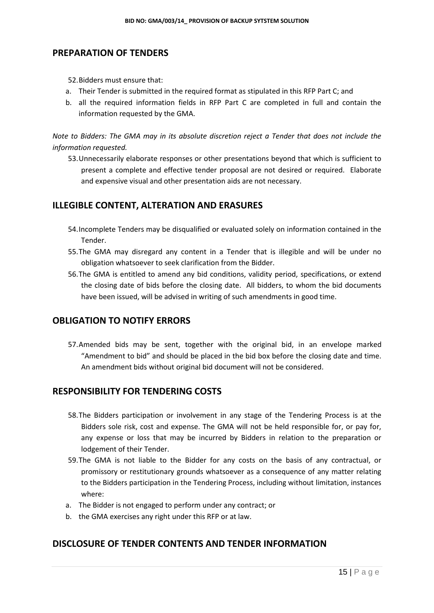## **PREPARATION OF TENDERS**

52.Bidders must ensure that:

- a. Their Tender is submitted in the required format as stipulated in this RFP Part C; and
- b. all the required information fields in RFP Part C are completed in full and contain the information requested by the GMA.

*Note to Bidders: The GMA may in its absolute discretion reject a Tender that does not include the information requested.*

53.Unnecessarily elaborate responses or other presentations beyond that which is sufficient to present a complete and effective tender proposal are not desired or required. Elaborate and expensive visual and other presentation aids are not necessary.

## **ILLEGIBLE CONTENT, ALTERATION AND ERASURES**

- 54.Incomplete Tenders may be disqualified or evaluated solely on information contained in the Tender.
- 55.The GMA may disregard any content in a Tender that is illegible and will be under no obligation whatsoever to seek clarification from the Bidder.
- 56.The GMA is entitled to amend any bid conditions, validity period, specifications, or extend the closing date of bids before the closing date. All bidders, to whom the bid documents have been issued, will be advised in writing of such amendments in good time.

## **OBLIGATION TO NOTIFY ERRORS**

57.Amended bids may be sent, together with the original bid, in an envelope marked "Amendment to bid" and should be placed in the bid box before the closing date and time. An amendment bids without original bid document will not be considered.

## **RESPONSIBILITY FOR TENDERING COSTS**

- 58.The Bidders participation or involvement in any stage of the Tendering Process is at the Bidders sole risk, cost and expense. The GMA will not be held responsible for, or pay for, any expense or loss that may be incurred by Bidders in relation to the preparation or lodgement of their Tender.
- 59.The GMA is not liable to the Bidder for any costs on the basis of any contractual, or promissory or restitutionary grounds whatsoever as a consequence of any matter relating to the Bidders participation in the Tendering Process, including without limitation, instances where:
- a. The Bidder is not engaged to perform under any contract; or
- b. the GMA exercises any right under this RFP or at law.

#### **DISCLOSURE OF TENDER CONTENTS AND TENDER INFORMATION**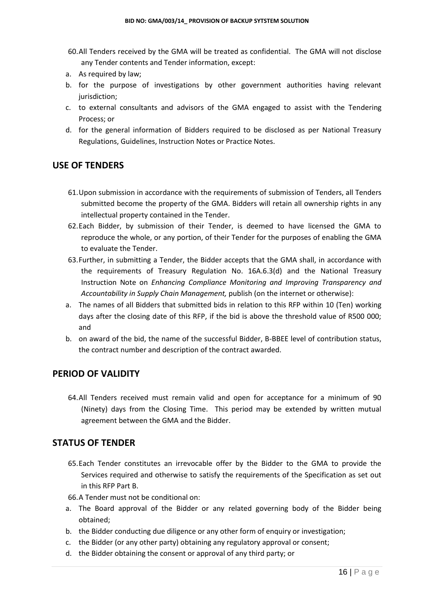- 60.All Tenders received by the GMA will be treated as confidential. The GMA will not disclose any Tender contents and Tender information, except:
- a. As required by law;
- b. for the purpose of investigations by other government authorities having relevant jurisdiction;
- c. to external consultants and advisors of the GMA engaged to assist with the Tendering Process; or
- d. for the general information of Bidders required to be disclosed as per National Treasury Regulations, Guidelines, Instruction Notes or Practice Notes.

#### **USE OF TENDERS**

- 61.Upon submission in accordance with the requirements of submission of Tenders, all Tenders submitted become the property of the GMA. Bidders will retain all ownership rights in any intellectual property contained in the Tender.
- 62.Each Bidder, by submission of their Tender, is deemed to have licensed the GMA to reproduce the whole, or any portion, of their Tender for the purposes of enabling the GMA to evaluate the Tender.
- 63.Further, in submitting a Tender, the Bidder accepts that the GMA shall, in accordance with the requirements of Treasury Regulation No. 16A.6.3(d) and the National Treasury Instruction Note on *Enhancing Compliance Monitoring and Improving Transparency and Accountability in Supply Chain Management,* publish (on the internet or otherwise):
- a. The names of all Bidders that submitted bids in relation to this RFP within 10 (Ten) working days after the closing date of this RFP, if the bid is above the threshold value of R500 000; and
- b. on award of the bid, the name of the successful Bidder, B-BBEE level of contribution status, the contract number and description of the contract awarded.

### **PERIOD OF VALIDITY**

64.All Tenders received must remain valid and open for acceptance for a minimum of 90 (Ninety) days from the Closing Time. This period may be extended by written mutual agreement between the GMA and the Bidder.

#### **STATUS OF TENDER**

- 65.Each Tender constitutes an irrevocable offer by the Bidder to the GMA to provide the Services required and otherwise to satisfy the requirements of the Specification as set out in this RFP Part B.
- 66.A Tender must not be conditional on:
- a. The Board approval of the Bidder or any related governing body of the Bidder being obtained;
- b. the Bidder conducting due diligence or any other form of enquiry or investigation;
- c. the Bidder (or any other party) obtaining any regulatory approval or consent;
- d. the Bidder obtaining the consent or approval of any third party; or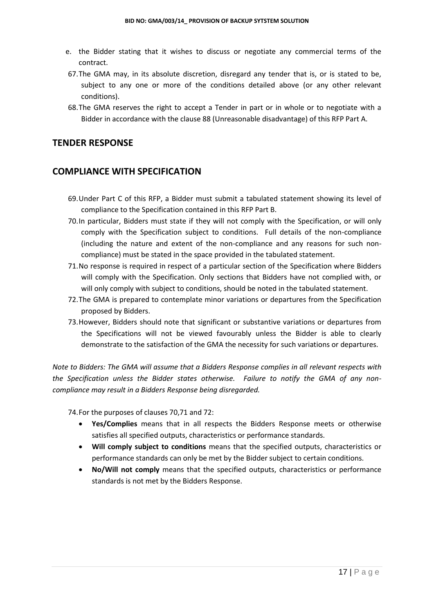- e. the Bidder stating that it wishes to discuss or negotiate any commercial terms of the contract.
- 67.The GMA may, in its absolute discretion, disregard any tender that is, or is stated to be, subject to any one or more of the conditions detailed above (or any other relevant conditions).
- 68.The GMA reserves the right to accept a Tender in part or in whole or to negotiate with a Bidder in accordance with the clause 88 (Unreasonable disadvantage) of this RFP Part A.

#### **TENDER RESPONSE**

#### **COMPLIANCE WITH SPECIFICATION**

- 69.Under Part C of this RFP, a Bidder must submit a tabulated statement showing its level of compliance to the Specification contained in this RFP Part B.
- 70.In particular, Bidders must state if they will not comply with the Specification, or will only comply with the Specification subject to conditions. Full details of the non-compliance (including the nature and extent of the non-compliance and any reasons for such noncompliance) must be stated in the space provided in the tabulated statement.
- 71.No response is required in respect of a particular section of the Specification where Bidders will comply with the Specification. Only sections that Bidders have not complied with, or will only comply with subject to conditions, should be noted in the tabulated statement.
- 72.The GMA is prepared to contemplate minor variations or departures from the Specification proposed by Bidders.
- 73.However, Bidders should note that significant or substantive variations or departures from the Specifications will not be viewed favourably unless the Bidder is able to clearly demonstrate to the satisfaction of the GMA the necessity for such variations or departures.

*Note to Bidders: The GMA will assume that a Bidders Response complies in all relevant respects with the Specification unless the Bidder states otherwise. Failure to notify the GMA of any noncompliance may result in a Bidders Response being disregarded.*

74.For the purposes of clauses 70,71 and 72:

- **Yes/Complies** means that in all respects the Bidders Response meets or otherwise satisfies all specified outputs, characteristics or performance standards.
- **Will comply subject to conditions** means that the specified outputs, characteristics or performance standards can only be met by the Bidder subject to certain conditions.
- **No/Will not comply** means that the specified outputs, characteristics or performance standards is not met by the Bidders Response.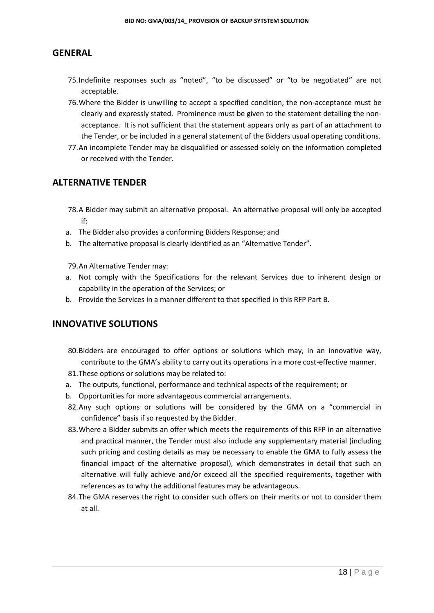## **GENERAL**

- 75.Indefinite responses such as "noted", "to be discussed" or "to be negotiated" are not acceptable.
- 76.Where the Bidder is unwilling to accept a specified condition, the non-acceptance must be clearly and expressly stated. Prominence must be given to the statement detailing the nonacceptance. It is not sufficient that the statement appears only as part of an attachment to the Tender, or be included in a general statement of the Bidders usual operating conditions.
- 77.An incomplete Tender may be disqualified or assessed solely on the information completed or received with the Tender.

## **ALTERNATIVE TENDER**

- 78.A Bidder may submit an alternative proposal. An alternative proposal will only be accepted if:
- a. The Bidder also provides a conforming Bidders Response; and
- b. The alternative proposal is clearly identified as an "Alternative Tender".

79.An Alternative Tender may:

- a. Not comply with the Specifications for the relevant Services due to inherent design or capability in the operation of the Services; or
- b. Provide the Services in a manner different to that specified in this RFP Part B.

## **INNOVATIVE SOLUTIONS**

- 80.Bidders are encouraged to offer options or solutions which may, in an innovative way, contribute to the GMA's ability to carry out its operations in a more cost-effective manner.
- 81.These options or solutions may be related to:
- a. The outputs, functional, performance and technical aspects of the requirement; or
- b. Opportunities for more advantageous commercial arrangements.
- 82.Any such options or solutions will be considered by the GMA on a "commercial in confidence" basis if so requested by the Bidder.
- 83.Where a Bidder submits an offer which meets the requirements of this RFP in an alternative and practical manner, the Tender must also include any supplementary material (including such pricing and costing details as may be necessary to enable the GMA to fully assess the financial impact of the alternative proposal), which demonstrates in detail that such an alternative will fully achieve and/or exceed all the specified requirements, together with references as to why the additional features may be advantageous.
- 84.The GMA reserves the right to consider such offers on their merits or not to consider them at all.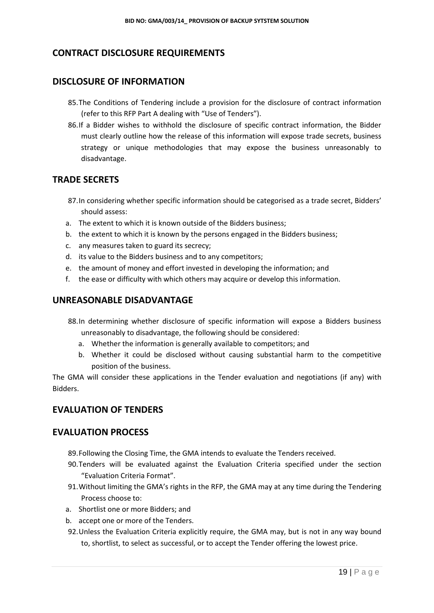## **CONTRACT DISCLOSURE REQUIREMENTS**

## **DISCLOSURE OF INFORMATION**

- 85.The Conditions of Tendering include a provision for the disclosure of contract information (refer to this RFP Part A dealing with "Use of Tenders").
- 86.If a Bidder wishes to withhold the disclosure of specific contract information, the Bidder must clearly outline how the release of this information will expose trade secrets, business strategy or unique methodologies that may expose the business unreasonably to disadvantage.

## **TRADE SECRETS**

- 87.In considering whether specific information should be categorised as a trade secret, Bidders' should assess:
- a. The extent to which it is known outside of the Bidders business;
- b. the extent to which it is known by the persons engaged in the Bidders business;
- c. any measures taken to guard its secrecy;
- d. its value to the Bidders business and to any competitors;
- e. the amount of money and effort invested in developing the information; and
- f. the ease or difficulty with which others may acquire or develop this information.

#### **UNREASONABLE DISADVANTAGE**

- 88.In determining whether disclosure of specific information will expose a Bidders business unreasonably to disadvantage, the following should be considered:
	- a. Whether the information is generally available to competitors; and
	- b. Whether it could be disclosed without causing substantial harm to the competitive position of the business.

The GMA will consider these applications in the Tender evaluation and negotiations (if any) with Bidders.

#### **EVALUATION OF TENDERS**

#### **EVALUATION PROCESS**

- 89.Following the Closing Time, the GMA intends to evaluate the Tenders received.
- 90.Tenders will be evaluated against the Evaluation Criteria specified under the section "Evaluation Criteria Format".
- 91.Without limiting the GMA's rights in the RFP, the GMA may at any time during the Tendering Process choose to:
- a. Shortlist one or more Bidders; and
- b. accept one or more of the Tenders.
- 92.Unless the Evaluation Criteria explicitly require, the GMA may, but is not in any way bound to, shortlist, to select as successful, or to accept the Tender offering the lowest price.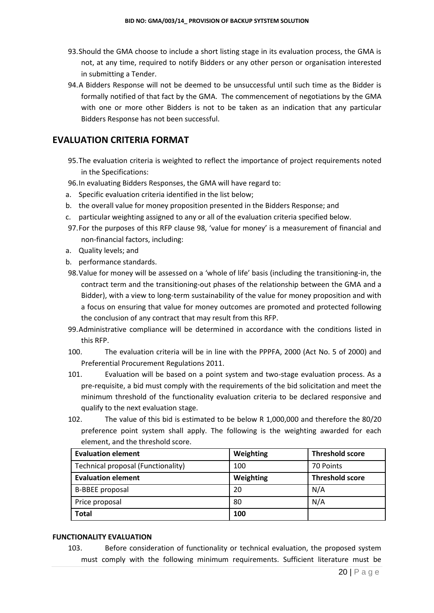- 93.Should the GMA choose to include a short listing stage in its evaluation process, the GMA is not, at any time, required to notify Bidders or any other person or organisation interested in submitting a Tender.
- 94.A Bidders Response will not be deemed to be unsuccessful until such time as the Bidder is formally notified of that fact by the GMA. The commencement of negotiations by the GMA with one or more other Bidders is not to be taken as an indication that any particular Bidders Response has not been successful.

## **EVALUATION CRITERIA FORMAT**

- 95.The evaluation criteria is weighted to reflect the importance of project requirements noted in the Specifications:
- 96.In evaluating Bidders Responses, the GMA will have regard to:
- a. Specific evaluation criteria identified in the list below;
- b. the overall value for money proposition presented in the Bidders Response; and
- c. particular weighting assigned to any or all of the evaluation criteria specified below.
- 97.For the purposes of this RFP clause 98, 'value for money' is a measurement of financial and non-financial factors, including:
- a. Quality levels; and
- b. performance standards.
- 98.Value for money will be assessed on a 'whole of life' basis (including the transitioning-in, the contract term and the transitioning-out phases of the relationship between the GMA and a Bidder), with a view to long-term sustainability of the value for money proposition and with a focus on ensuring that value for money outcomes are promoted and protected following the conclusion of any contract that may result from this RFP.
- 99.Administrative compliance will be determined in accordance with the conditions listed in this RFP.
- 100. The evaluation criteria will be in line with the PPPFA, 2000 (Act No. 5 of 2000) and Preferential Procurement Regulations 2011.
- 101. Evaluation will be based on a point system and two-stage evaluation process. As a pre-requisite, a bid must comply with the requirements of the bid solicitation and meet the minimum threshold of the functionality evaluation criteria to be declared responsive and qualify to the next evaluation stage.
- 102. The value of this bid is estimated to be below R 1,000,000 and therefore the 80/20 preference point system shall apply. The following is the weighting awarded for each element, and the threshold score.

| <b>Evaluation element</b>          | Weighting | <b>Threshold score</b> |
|------------------------------------|-----------|------------------------|
| Technical proposal (Functionality) | 100       | 70 Points              |
| <b>Evaluation element</b>          | Weighting | <b>Threshold score</b> |
| <b>B-BBEE</b> proposal             | 20        | N/A                    |
| Price proposal                     | 80        | N/A                    |
| <b>Total</b>                       | 100       |                        |

#### **FUNCTIONALITY EVALUATION**

103. Before consideration of functionality or technical evaluation, the proposed system must comply with the following minimum requirements. Sufficient literature must be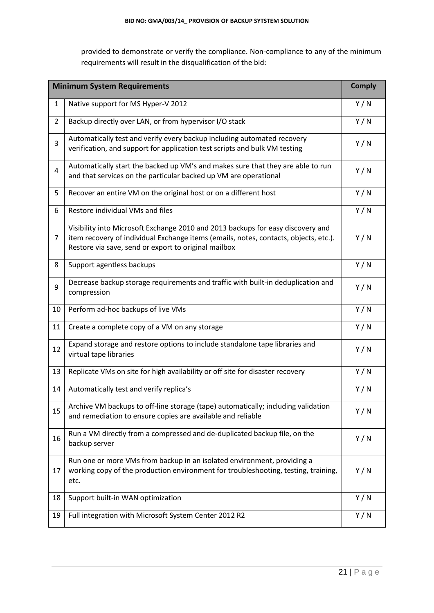provided to demonstrate or verify the compliance. Non-compliance to any of the minimum requirements will result in the disqualification of the bid:

| <b>Minimum System Requirements</b> |                                                                                                                                                                                                                                 |     |
|------------------------------------|---------------------------------------------------------------------------------------------------------------------------------------------------------------------------------------------------------------------------------|-----|
| $\mathbf{1}$                       | Native support for MS Hyper-V 2012                                                                                                                                                                                              | Y/N |
| $\overline{2}$                     | Backup directly over LAN, or from hypervisor I/O stack                                                                                                                                                                          | Y/N |
| 3                                  | Automatically test and verify every backup including automated recovery<br>verification, and support for application test scripts and bulk VM testing                                                                           | Y/N |
| 4                                  | Automatically start the backed up VM's and makes sure that they are able to run<br>and that services on the particular backed up VM are operational                                                                             | Y/N |
| 5                                  | Recover an entire VM on the original host or on a different host                                                                                                                                                                | Y/N |
| 6                                  | Restore individual VMs and files                                                                                                                                                                                                | Y/N |
| 7                                  | Visibility into Microsoft Exchange 2010 and 2013 backups for easy discovery and<br>item recovery of individual Exchange items (emails, notes, contacts, objects, etc.).<br>Restore via save, send or export to original mailbox | Y/N |
| 8                                  | Support agentless backups                                                                                                                                                                                                       | Y/N |
| 9                                  | Decrease backup storage requirements and traffic with built-in deduplication and<br>compression                                                                                                                                 | Y/N |
| 10                                 | Perform ad-hoc backups of live VMs                                                                                                                                                                                              | Y/N |
| 11                                 | Create a complete copy of a VM on any storage                                                                                                                                                                                   | Y/N |
| 12                                 | Expand storage and restore options to include standalone tape libraries and<br>virtual tape libraries                                                                                                                           | Y/N |
| 13                                 | Replicate VMs on site for high availability or off site for disaster recovery                                                                                                                                                   | Y/N |
| 14                                 | Automatically test and verify replica's                                                                                                                                                                                         | Y/N |
| 15                                 | Archive VM backups to off-line storage (tape) automatically; including validation<br>and remediation to ensure copies are available and reliable                                                                                | Y/N |
| 16                                 | Run a VM directly from a compressed and de-duplicated backup file, on the<br>backup server                                                                                                                                      | Y/N |
| 17                                 | Run one or more VMs from backup in an isolated environment, providing a<br>working copy of the production environment for troubleshooting, testing, training,<br>etc.                                                           | Y/N |
| 18                                 | Support built-in WAN optimization                                                                                                                                                                                               | Y/N |
| 19                                 | Full integration with Microsoft System Center 2012 R2                                                                                                                                                                           | Y/N |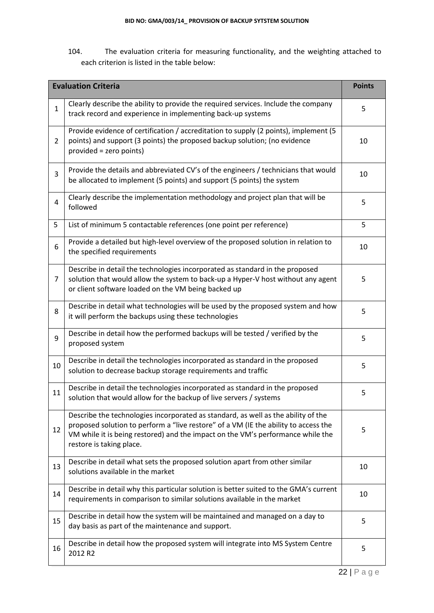104. The evaluation criteria for measuring functionality, and the weighting attached to each criterion is listed in the table below:

| <b>Evaluation Criteria</b> |                                                                                                                                                                                                                                                                                         | <b>Points</b> |
|----------------------------|-----------------------------------------------------------------------------------------------------------------------------------------------------------------------------------------------------------------------------------------------------------------------------------------|---------------|
| $\mathbf{1}$               | Clearly describe the ability to provide the required services. Include the company<br>track record and experience in implementing back-up systems                                                                                                                                       | 5             |
| $\overline{2}$             | Provide evidence of certification / accreditation to supply (2 points), implement (5<br>points) and support (3 points) the proposed backup solution; (no evidence<br>provided = zero points)                                                                                            | 10            |
| 3                          | Provide the details and abbreviated CV's of the engineers / technicians that would<br>be allocated to implement (5 points) and support (5 points) the system                                                                                                                            | 10            |
| 4                          | Clearly describe the implementation methodology and project plan that will be<br>followed                                                                                                                                                                                               | 5             |
| 5                          | List of minimum 5 contactable references (one point per reference)                                                                                                                                                                                                                      | 5             |
| 6                          | Provide a detailed but high-level overview of the proposed solution in relation to<br>the specified requirements                                                                                                                                                                        | 10            |
| 7                          | Describe in detail the technologies incorporated as standard in the proposed<br>solution that would allow the system to back-up a Hyper-V host without any agent<br>or client software loaded on the VM being backed up                                                                 | 5             |
| 8                          | Describe in detail what technologies will be used by the proposed system and how<br>it will perform the backups using these technologies                                                                                                                                                | 5             |
| $\overline{9}$             | Describe in detail how the performed backups will be tested / verified by the<br>proposed system                                                                                                                                                                                        | 5             |
| 10                         | Describe in detail the technologies incorporated as standard in the proposed<br>solution to decrease backup storage requirements and traffic                                                                                                                                            | 5             |
| 11                         | Describe in detail the technologies incorporated as standard in the proposed<br>solution that would allow for the backup of live servers / systems                                                                                                                                      | 5             |
| 12                         | Describe the technologies incorporated as standard, as well as the ability of the<br>proposed solution to perform a "live restore" of a VM (IE the ability to access the<br>VM while it is being restored) and the impact on the VM's performance while the<br>restore is taking place. | 5             |
| 13                         | Describe in detail what sets the proposed solution apart from other similar<br>solutions available in the market                                                                                                                                                                        | 10            |
| 14                         | Describe in detail why this particular solution is better suited to the GMA's current<br>requirements in comparison to similar solutions available in the market                                                                                                                        | 10            |
| 15                         | Describe in detail how the system will be maintained and managed on a day to<br>day basis as part of the maintenance and support.                                                                                                                                                       | 5             |
| 16                         | Describe in detail how the proposed system will integrate into MS System Centre<br>2012 R2                                                                                                                                                                                              | 5             |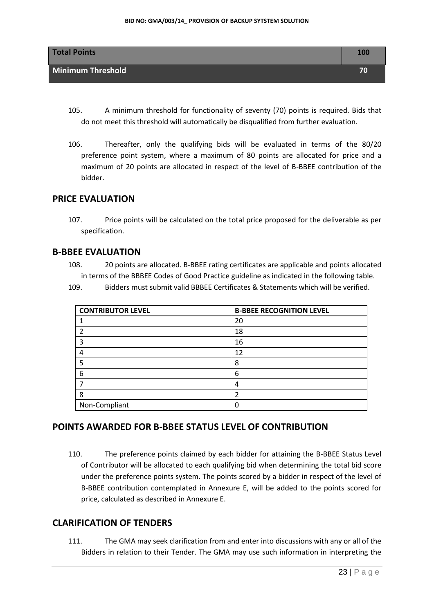

- 105. A minimum threshold for functionality of seventy (70) points is required. Bids that do not meet this threshold will automatically be disqualified from further evaluation.
- 106. Thereafter, only the qualifying bids will be evaluated in terms of the 80/20 preference point system, where a maximum of 80 points are allocated for price and a maximum of 20 points are allocated in respect of the level of B-BBEE contribution of the bidder.

#### **PRICE EVALUATION**

107. Price points will be calculated on the total price proposed for the deliverable as per specification.

## **B-BBEE EVALUATION**

108. 20 points are allocated. B-BBEE rating certificates are applicable and points allocated in terms of the BBBEE Codes of Good Practice guideline as indicated in the following table.

109. Bidders must submit valid BBBEE Certificates & Statements which will be verified.

| <b>CONTRIBUTOR LEVEL</b> | <b>B-BBEE RECOGNITION LEVEL</b> |
|--------------------------|---------------------------------|
|                          | 20                              |
|                          | 18                              |
|                          | 16                              |
| 4                        | 12                              |
|                          | 8                               |
| 6                        | 6                               |
|                          | 4                               |
| 8                        | 2                               |
| Non-Compliant            |                                 |

### **POINTS AWARDED FOR B-BBEE STATUS LEVEL OF CONTRIBUTION**

110. The preference points claimed by each bidder for attaining the B-BBEE Status Level of Contributor will be allocated to each qualifying bid when determining the total bid score under the preference points system. The points scored by a bidder in respect of the level of B-BBEE contribution contemplated in Annexure E, will be added to the points scored for price, calculated as described in Annexure E.

### **CLARIFICATION OF TENDERS**

111. The GMA may seek clarification from and enter into discussions with any or all of the Bidders in relation to their Tender. The GMA may use such information in interpreting the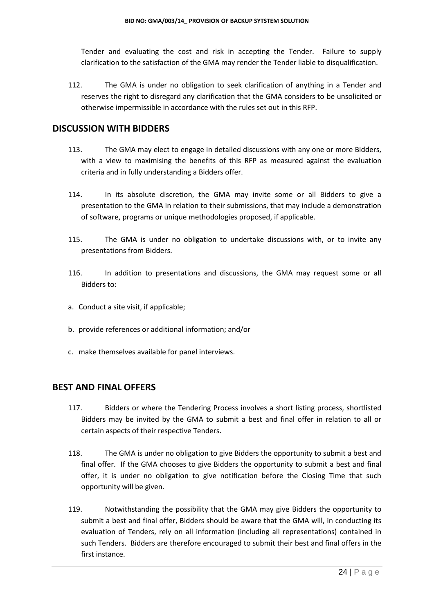Tender and evaluating the cost and risk in accepting the Tender. Failure to supply clarification to the satisfaction of the GMA may render the Tender liable to disqualification.

112. The GMA is under no obligation to seek clarification of anything in a Tender and reserves the right to disregard any clarification that the GMA considers to be unsolicited or otherwise impermissible in accordance with the rules set out in this RFP.

#### **DISCUSSION WITH BIDDERS**

- 113. The GMA may elect to engage in detailed discussions with any one or more Bidders, with a view to maximising the benefits of this RFP as measured against the evaluation criteria and in fully understanding a Bidders offer.
- 114. In its absolute discretion, the GMA may invite some or all Bidders to give a presentation to the GMA in relation to their submissions, that may include a demonstration of software, programs or unique methodologies proposed, if applicable.
- 115. The GMA is under no obligation to undertake discussions with, or to invite any presentations from Bidders.
- 116. In addition to presentations and discussions, the GMA may request some or all Bidders to:
- a. Conduct a site visit, if applicable;
- b. provide references or additional information; and/or
- c. make themselves available for panel interviews.

#### **BEST AND FINAL OFFERS**

- 117. Bidders or where the Tendering Process involves a short listing process, shortlisted Bidders may be invited by the GMA to submit a best and final offer in relation to all or certain aspects of their respective Tenders.
- 118. The GMA is under no obligation to give Bidders the opportunity to submit a best and final offer. If the GMA chooses to give Bidders the opportunity to submit a best and final offer, it is under no obligation to give notification before the Closing Time that such opportunity will be given.
- 119. Notwithstanding the possibility that the GMA may give Bidders the opportunity to submit a best and final offer, Bidders should be aware that the GMA will, in conducting its evaluation of Tenders, rely on all information (including all representations) contained in such Tenders. Bidders are therefore encouraged to submit their best and final offers in the first instance.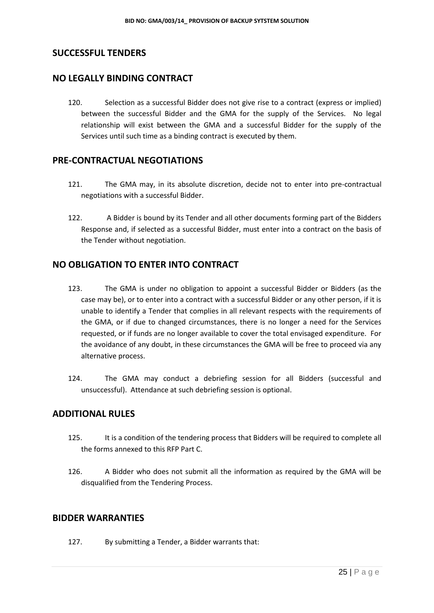## **SUCCESSFUL TENDERS**

## **NO LEGALLY BINDING CONTRACT**

120. Selection as a successful Bidder does not give rise to a contract (express or implied) between the successful Bidder and the GMA for the supply of the Services. No legal relationship will exist between the GMA and a successful Bidder for the supply of the Services until such time as a binding contract is executed by them.

#### **PRE-CONTRACTUAL NEGOTIATIONS**

- 121. The GMA may, in its absolute discretion, decide not to enter into pre-contractual negotiations with a successful Bidder.
- 122. A Bidder is bound by its Tender and all other documents forming part of the Bidders Response and, if selected as a successful Bidder, must enter into a contract on the basis of the Tender without negotiation.

#### **NO OBLIGATION TO ENTER INTO CONTRACT**

- 123. The GMA is under no obligation to appoint a successful Bidder or Bidders (as the case may be), or to enter into a contract with a successful Bidder or any other person, if it is unable to identify a Tender that complies in all relevant respects with the requirements of the GMA, or if due to changed circumstances, there is no longer a need for the Services requested, or if funds are no longer available to cover the total envisaged expenditure. For the avoidance of any doubt, in these circumstances the GMA will be free to proceed via any alternative process.
- 124. The GMA may conduct a debriefing session for all Bidders (successful and unsuccessful). Attendance at such debriefing session is optional.

#### **ADDITIONAL RULES**

- 125. It is a condition of the tendering process that Bidders will be required to complete all the forms annexed to this RFP Part C.
- 126. A Bidder who does not submit all the information as required by the GMA will be disqualified from the Tendering Process.

#### **BIDDER WARRANTIES**

127. By submitting a Tender, a Bidder warrants that: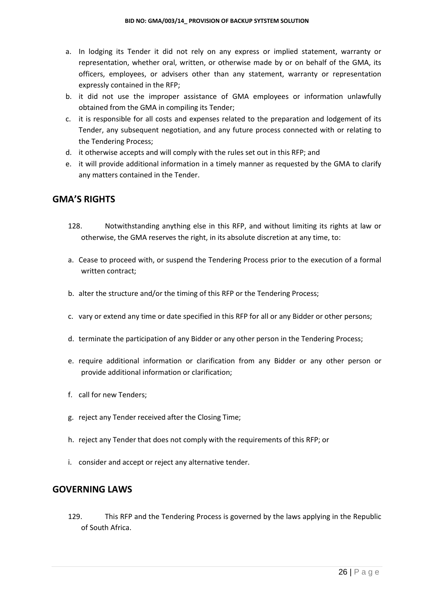- a. In lodging its Tender it did not rely on any express or implied statement, warranty or representation, whether oral, written, or otherwise made by or on behalf of the GMA, its officers, employees, or advisers other than any statement, warranty or representation expressly contained in the RFP;
- b. it did not use the improper assistance of GMA employees or information unlawfully obtained from the GMA in compiling its Tender;
- c. it is responsible for all costs and expenses related to the preparation and lodgement of its Tender, any subsequent negotiation, and any future process connected with or relating to the Tendering Process;
- d. it otherwise accepts and will comply with the rules set out in this RFP; and
- e. it will provide additional information in a timely manner as requested by the GMA to clarify any matters contained in the Tender.

#### **GMA'S RIGHTS**

- 128. Notwithstanding anything else in this RFP, and without limiting its rights at law or otherwise, the GMA reserves the right, in its absolute discretion at any time, to:
- a. Cease to proceed with, or suspend the Tendering Process prior to the execution of a formal written contract;
- b. alter the structure and/or the timing of this RFP or the Tendering Process;
- c. vary or extend any time or date specified in this RFP for all or any Bidder or other persons;
- d. terminate the participation of any Bidder or any other person in the Tendering Process;
- e. require additional information or clarification from any Bidder or any other person or provide additional information or clarification;
- f. call for new Tenders;
- g. reject any Tender received after the Closing Time;
- h. reject any Tender that does not comply with the requirements of this RFP; or
- i. consider and accept or reject any alternative tender.

## **GOVERNING LAWS**

129. This RFP and the Tendering Process is governed by the laws applying in the Republic of South Africa.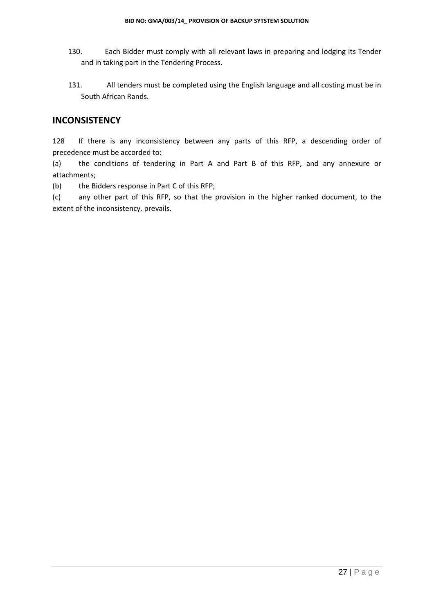- 130. Each Bidder must comply with all relevant laws in preparing and lodging its Tender and in taking part in the Tendering Process.
- 131. All tenders must be completed using the English language and all costing must be in South African Rands.

#### **INCONSISTENCY**

128 If there is any inconsistency between any parts of this RFP, a descending order of precedence must be accorded to:

(a) the conditions of tendering in Part A and Part B of this RFP, and any annexure or attachments;

(b) the Bidders response in Part C of this RFP;

(c) any other part of this RFP, so that the provision in the higher ranked document, to the extent of the inconsistency, prevails.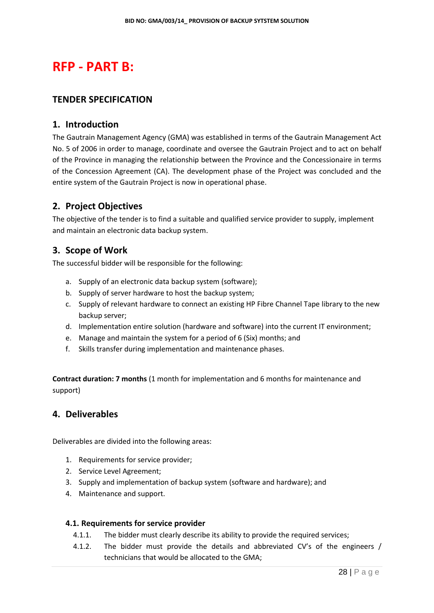## **RFP - PART B:**

#### **TENDER SPECIFICATION**

#### **1. Introduction**

The Gautrain Management Agency (GMA) was established in terms of the Gautrain Management Act No. 5 of 2006 in order to manage, coordinate and oversee the Gautrain Project and to act on behalf of the Province in managing the relationship between the Province and the Concessionaire in terms of the Concession Agreement (CA). The development phase of the Project was concluded and the entire system of the Gautrain Project is now in operational phase.

## **2. Project Objectives**

The objective of the tender is to find a suitable and qualified service provider to supply, implement and maintain an electronic data backup system.

#### **3. Scope of Work**

The successful bidder will be responsible for the following:

- a. Supply of an electronic data backup system (software);
- b. Supply of server hardware to host the backup system;
- c. Supply of relevant hardware to connect an existing HP Fibre Channel Tape library to the new backup server;
- d. Implementation entire solution (hardware and software) into the current IT environment;
- e. Manage and maintain the system for a period of 6 (Six) months; and
- f. Skills transfer during implementation and maintenance phases.

**Contract duration: 7 months** (1 month for implementation and 6 months for maintenance and support)

#### **4. Deliverables**

Deliverables are divided into the following areas:

- 1. Requirements for service provider;
- 2. Service Level Agreement;
- 3. Supply and implementation of backup system (software and hardware); and
- 4. Maintenance and support.

#### **4.1. Requirements for service provider**

- 4.1.1. The bidder must clearly describe its ability to provide the required services;
- 4.1.2. The bidder must provide the details and abbreviated CV's of the engineers / technicians that would be allocated to the GMA;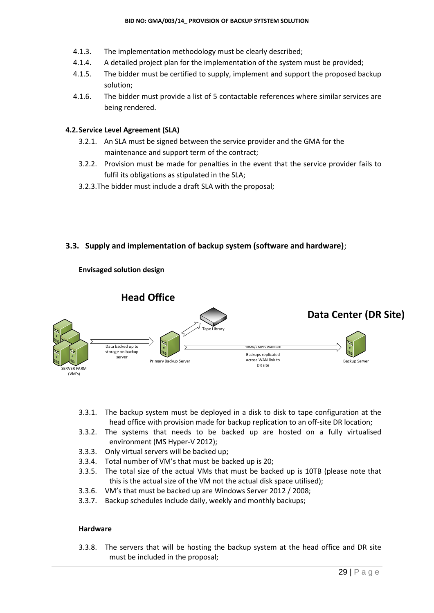- 4.1.3. The implementation methodology must be clearly described;
- 4.1.4. A detailed project plan for the implementation of the system must be provided;
- 4.1.5. The bidder must be certified to supply, implement and support the proposed backup solution;
- 4.1.6. The bidder must provide a list of 5 contactable references where similar services are being rendered.

#### **4.2.Service Level Agreement (SLA)**

- 3.2.1. An SLA must be signed between the service provider and the GMA for the maintenance and support term of the contract;
- 3.2.2. Provision must be made for penalties in the event that the service provider fails to fulfil its obligations as stipulated in the SLA;
- 3.2.3.The bidder must include a draft SLA with the proposal;

#### **3.3. Supply and implementation of backup system (software and hardware)**;

**Envisaged solution design**



- 3.3.1. The backup system must be deployed in a disk to disk to tape configuration at the head office with provision made for backup replication to an off-site DR location;
- 3.3.2. The systems that needs to be backed up are hosted on a fully virtualised environment (MS Hyper-V 2012);
- 3.3.3. Only virtual servers will be backed up;
- 3.3.4. Total number of VM's that must be backed up is 20;
- 3.3.5. The total size of the actual VMs that must be backed up is 10TB (please note that this is the actual size of the VM not the actual disk space utilised);
- 3.3.6. VM's that must be backed up are Windows Server 2012 / 2008;
- 3.3.7. Backup schedules include daily, weekly and monthly backups;

#### **Hardware**

3.3.8. The servers that will be hosting the backup system at the head office and DR site must be included in the proposal;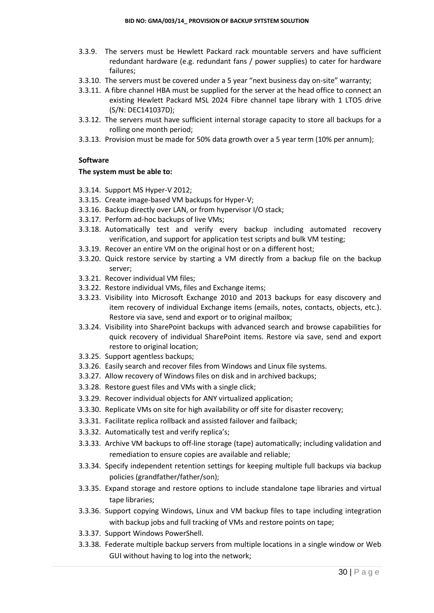- 3.3.9. The servers must be Hewlett Packard rack mountable servers and have sufficient redundant hardware (e.g. redundant fans / power supplies) to cater for hardware failures;
- 3.3.10. The servers must be covered under a 5 year "next business day on-site" warranty;
- 3.3.11. A fibre channel HBA must be supplied for the server at the head office to connect an existing Hewlett Packard MSL 2024 Fibre channel tape library with 1 LTO5 drive (S/N: DEC141037D);
- 3.3.12. The servers must have sufficient internal storage capacity to store all backups for a rolling one month period;
- 3.3.13. Provision must be made for 50% data growth over a 5 year term (10% per annum);

#### **Software**

#### **The system must be able to:**

- 3.3.14. Support MS Hyper-V 2012;
- 3.3.15. Create image-based VM backups for Hyper-V;
- 3.3.16. Backup directly over LAN, or from hypervisor I/O stack;
- 3.3.17. Perform ad-hoc backups of live VMs;
- 3.3.18. Automatically test and verify every backup including automated recovery verification, and support for application test scripts and bulk VM testing;
- 3.3.19. Recover an entire VM on the original host or on a different host;
- 3.3.20. Quick restore service by starting a VM directly from a backup file on the backup server;
- 3.3.21. Recover individual VM files;
- 3.3.22. Restore individual VMs, files and Exchange items;
- 3.3.23. Visibility into Microsoft Exchange 2010 and 2013 backups for easy discovery and item recovery of individual Exchange items (emails, notes, contacts, objects, etc.). Restore via save, send and export or to original mailbox;
- 3.3.24. Visibility into SharePoint backups with advanced search and browse capabilities for quick recovery of individual SharePoint items. Restore via save, send and export restore to original location;
- 3.3.25. Support agentless backups;
- 3.3.26. Easily search and recover files from Windows and Linux file systems.
- 3.3.27. Allow recovery of Windows files on disk and in archived backups;
- 3.3.28. Restore guest files and VMs with a single click;
- 3.3.29. Recover individual objects for ANY virtualized application;
- 3.3.30. Replicate VMs on site for high availability or off site for disaster recovery;
- 3.3.31. Facilitate replica rollback and assisted failover and failback;
- 3.3.32. Automatically test and verify replica's;
- 3.3.33. Archive VM backups to off-line storage (tape) automatically; including validation and remediation to ensure copies are available and reliable;
- 3.3.34. Specify independent retention settings for keeping multiple full backups via backup policies (grandfather/father/son);
- 3.3.35. Expand storage and restore options to include standalone tape libraries and virtual tape libraries;
- 3.3.36. Support copying Windows, Linux and VM backup files to tape including integration with backup jobs and full tracking of VMs and restore points on tape:
- 3.3.37. Support Windows PowerShell.
- 3.3.38. Federate multiple backup servers from multiple locations in a single window or Web GUI without having to log into the network;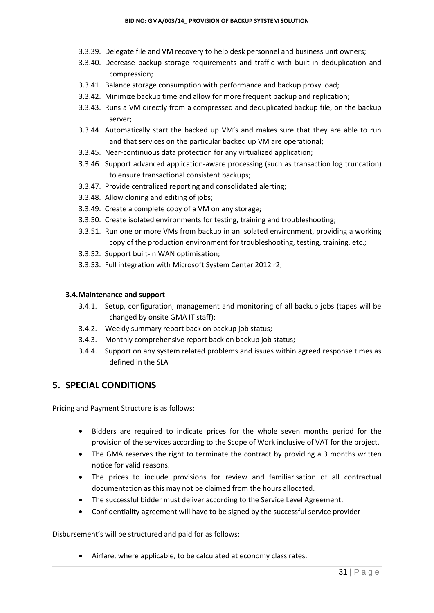- 3.3.39. Delegate file and VM recovery to help desk personnel and business unit owners;
- 3.3.40. Decrease backup storage requirements and traffic with built-in deduplication and compression;
- 3.3.41. Balance storage consumption with performance and backup proxy load;
- 3.3.42. Minimize backup time and allow for more frequent backup and replication;
- 3.3.43. Runs a VM directly from a compressed and deduplicated backup file, on the backup server;
- 3.3.44. Automatically start the backed up VM's and makes sure that they are able to run and that services on the particular backed up VM are operational;
- 3.3.45. Near-continuous data protection for any virtualized application;
- 3.3.46. Support advanced application-aware processing (such as transaction log truncation) to ensure transactional consistent backups;
- 3.3.47. Provide centralized reporting and consolidated alerting;
- 3.3.48. Allow cloning and editing of jobs;
- 3.3.49. Create a complete copy of a VM on any storage;
- 3.3.50. Create isolated environments for testing, training and troubleshooting;
- 3.3.51. Run one or more VMs from backup in an isolated environment, providing a working copy of the production environment for troubleshooting, testing, training, etc.;
- 3.3.52. Support built-in WAN optimisation;
- 3.3.53. Full integration with Microsoft System Center 2012 r2;

#### **3.4.Maintenance and support**

- 3.4.1. Setup, configuration, management and monitoring of all backup jobs (tapes will be changed by onsite GMA IT staff);
- 3.4.2. Weekly summary report back on backup job status;
- 3.4.3. Monthly comprehensive report back on backup job status;
- 3.4.4. Support on any system related problems and issues within agreed response times as defined in the SLA

#### **5. SPECIAL CONDITIONS**

Pricing and Payment Structure is as follows:

- Bidders are required to indicate prices for the whole seven months period for the provision of the services according to the Scope of Work inclusive of VAT for the project.
- The GMA reserves the right to terminate the contract by providing a 3 months written notice for valid reasons.
- The prices to include provisions for review and familiarisation of all contractual documentation as this may not be claimed from the hours allocated.
- The successful bidder must deliver according to the Service Level Agreement.
- Confidentiality agreement will have to be signed by the successful service provider

Disbursement's will be structured and paid for as follows:

Airfare, where applicable, to be calculated at economy class rates.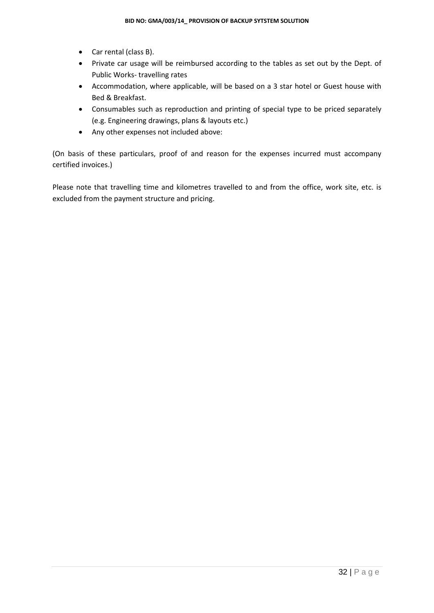- Car rental (class B).
- Private car usage will be reimbursed according to the tables as set out by the Dept. of Public Works- travelling rates
- Accommodation, where applicable, will be based on a 3 star hotel or Guest house with Bed & Breakfast.
- Consumables such as reproduction and printing of special type to be priced separately (e.g. Engineering drawings, plans & layouts etc.)
- Any other expenses not included above:

(On basis of these particulars, proof of and reason for the expenses incurred must accompany certified invoices.)

Please note that travelling time and kilometres travelled to and from the office, work site, etc. is excluded from the payment structure and pricing.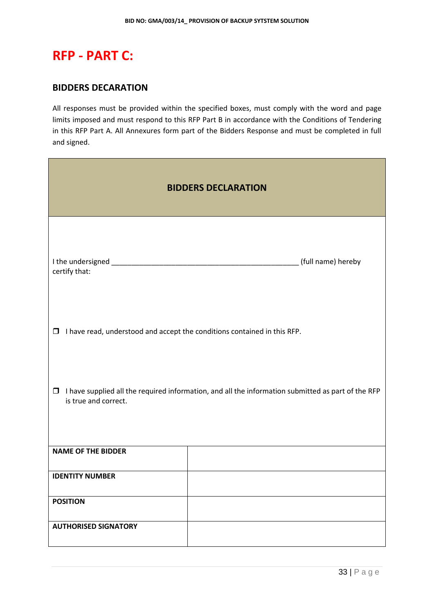# **RFP - PART C:**

#### **BIDDERS DECARATION**

All responses must be provided within the specified boxes, must comply with the word and page limits imposed and must respond to this RFP Part B in accordance with the Conditions of Tendering in this RFP Part A. All Annexures form part of the Bidders Response and must be completed in full and signed.

| <b>BIDDERS DECLARATION</b>                                                                                                           |                    |  |
|--------------------------------------------------------------------------------------------------------------------------------------|--------------------|--|
| certify that:                                                                                                                        | (full name) hereby |  |
| $\Box$ I have read, understood and accept the conditions contained in this RFP.                                                      |                    |  |
| I have supplied all the required information, and all the information submitted as part of the RFP<br>$\Box$<br>is true and correct. |                    |  |
| <b>NAME OF THE BIDDER</b>                                                                                                            |                    |  |
| <b>IDENTITY NUMBER</b>                                                                                                               |                    |  |
| <b>POSITION</b>                                                                                                                      |                    |  |
| <b>AUTHORISED SIGNATORY</b>                                                                                                          |                    |  |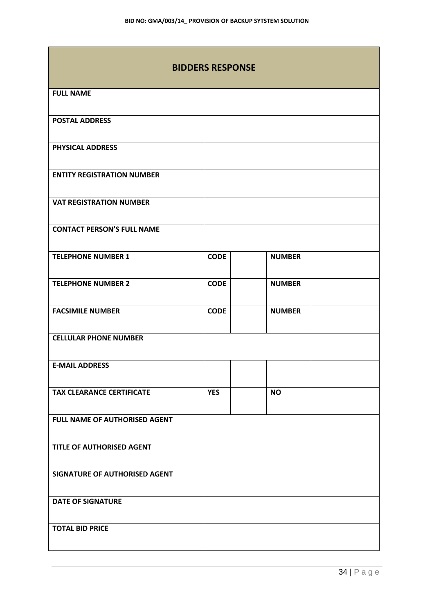| <b>BIDDERS RESPONSE</b>              |             |               |  |  |
|--------------------------------------|-------------|---------------|--|--|
| <b>FULL NAME</b>                     |             |               |  |  |
| <b>POSTAL ADDRESS</b>                |             |               |  |  |
| PHYSICAL ADDRESS                     |             |               |  |  |
| <b>ENTITY REGISTRATION NUMBER</b>    |             |               |  |  |
| <b>VAT REGISTRATION NUMBER</b>       |             |               |  |  |
| <b>CONTACT PERSON'S FULL NAME</b>    |             |               |  |  |
| <b>TELEPHONE NUMBER 1</b>            | <b>CODE</b> | <b>NUMBER</b> |  |  |
| <b>TELEPHONE NUMBER 2</b>            | <b>CODE</b> | <b>NUMBER</b> |  |  |
| <b>FACSIMILE NUMBER</b>              | <b>CODE</b> | <b>NUMBER</b> |  |  |
| <b>CELLULAR PHONE NUMBER</b>         |             |               |  |  |
| <b>E-MAIL ADDRESS</b>                |             |               |  |  |
| <b>TAX CLEARANCE CERTIFICATE</b>     | <b>YES</b>  | <b>NO</b>     |  |  |
| FULL NAME OF AUTHORISED AGENT        |             |               |  |  |
| TITLE OF AUTHORISED AGENT            |             |               |  |  |
| <b>SIGNATURE OF AUTHORISED AGENT</b> |             |               |  |  |
| <b>DATE OF SIGNATURE</b>             |             |               |  |  |
| <b>TOTAL BID PRICE</b>               |             |               |  |  |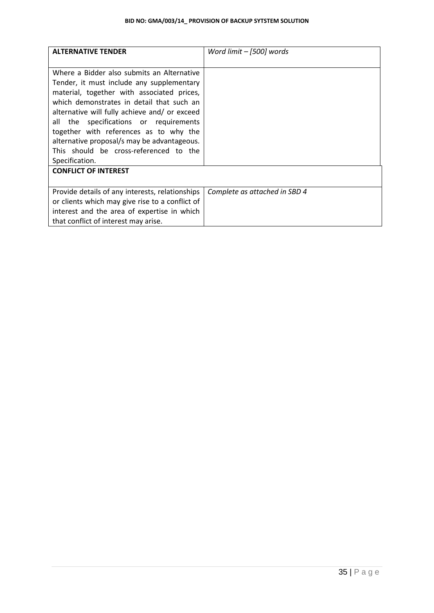| <b>ALTERNATIVE TENDER</b>                                                                                                                                                                                                                                                     | Word limit - [500] words      |
|-------------------------------------------------------------------------------------------------------------------------------------------------------------------------------------------------------------------------------------------------------------------------------|-------------------------------|
| Where a Bidder also submits an Alternative<br>Tender, it must include any supplementary<br>material, together with associated prices,<br>which demonstrates in detail that such an<br>alternative will fully achieve and/ or exceed<br>all the specifications or requirements |                               |
| together with references as to why the<br>alternative proposal/s may be advantageous.<br>This should be cross-referenced to the                                                                                                                                               |                               |
| Specification.                                                                                                                                                                                                                                                                |                               |
| <b>CONFLICT OF INTEREST</b>                                                                                                                                                                                                                                                   |                               |
| Provide details of any interests, relationships<br>or clients which may give rise to a conflict of<br>interest and the area of expertise in which<br>that conflict of interest may arise.                                                                                     | Complete as attached in SBD 4 |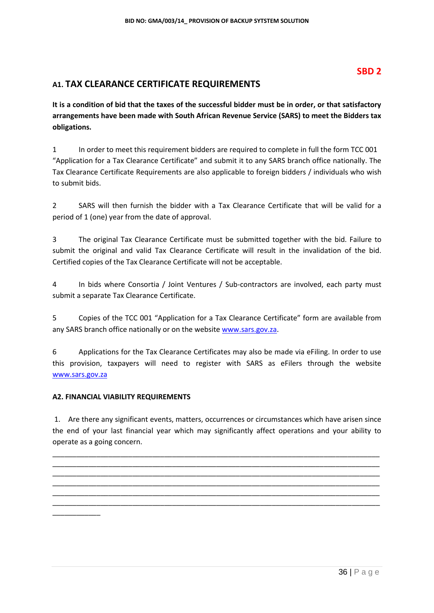## **SBD 2**

## **A1. TAX CLEARANCE CERTIFICATE REQUIREMENTS**

**It is a condition of bid that the taxes of the successful bidder must be in order, or that satisfactory arrangements have been made with South African Revenue Service (SARS) to meet the Bidders tax obligations.**

1 In order to meet this requirement bidders are required to complete in full the form TCC 001 "Application for a Tax Clearance Certificate" and submit it to any SARS branch office nationally. The Tax Clearance Certificate Requirements are also applicable to foreign bidders / individuals who wish to submit bids.

2 SARS will then furnish the bidder with a Tax Clearance Certificate that will be valid for a period of 1 (one) year from the date of approval.

3 The original Tax Clearance Certificate must be submitted together with the bid. Failure to submit the original and valid Tax Clearance Certificate will result in the invalidation of the bid. Certified copies of the Tax Clearance Certificate will not be acceptable.

4 In bids where Consortia / Joint Ventures / Sub-contractors are involved, each party must submit a separate Tax Clearance Certificate.

5 Copies of the TCC 001 "Application for a Tax Clearance Certificate" form are available from any SARS branch office nationally or on the websit[e www.sars.gov.za.](http://www.sars.gov.za/)

6 Applications for the Tax Clearance Certificates may also be made via eFiling. In order to use this provision, taxpayers will need to register with SARS as eFilers through the website [www.sars.gov.za](http://www.sars.gov.za/)

#### **A2. FINANCIAL VIABILITY REQUIREMENTS**

\_\_\_\_\_\_\_\_\_\_\_\_

1. Are there any significant events, matters, occurrences or circumstances which have arisen since the end of your last financial year which may significantly affect operations and your ability to operate as a going concern.

\_\_\_\_\_\_\_\_\_\_\_\_\_\_\_\_\_\_\_\_\_\_\_\_\_\_\_\_\_\_\_\_\_\_\_\_\_\_\_\_\_\_\_\_\_\_\_\_\_\_\_\_\_\_\_\_\_\_\_\_\_\_\_\_\_\_\_\_\_\_\_\_\_\_\_\_\_\_\_\_\_\_ \_\_\_\_\_\_\_\_\_\_\_\_\_\_\_\_\_\_\_\_\_\_\_\_\_\_\_\_\_\_\_\_\_\_\_\_\_\_\_\_\_\_\_\_\_\_\_\_\_\_\_\_\_\_\_\_\_\_\_\_\_\_\_\_\_\_\_\_\_\_\_\_\_\_\_\_\_\_\_\_\_\_ \_\_\_\_\_\_\_\_\_\_\_\_\_\_\_\_\_\_\_\_\_\_\_\_\_\_\_\_\_\_\_\_\_\_\_\_\_\_\_\_\_\_\_\_\_\_\_\_\_\_\_\_\_\_\_\_\_\_\_\_\_\_\_\_\_\_\_\_\_\_\_\_\_\_\_\_\_\_\_\_\_\_ \_\_\_\_\_\_\_\_\_\_\_\_\_\_\_\_\_\_\_\_\_\_\_\_\_\_\_\_\_\_\_\_\_\_\_\_\_\_\_\_\_\_\_\_\_\_\_\_\_\_\_\_\_\_\_\_\_\_\_\_\_\_\_\_\_\_\_\_\_\_\_\_\_\_\_\_\_\_\_\_\_\_ \_\_\_\_\_\_\_\_\_\_\_\_\_\_\_\_\_\_\_\_\_\_\_\_\_\_\_\_\_\_\_\_\_\_\_\_\_\_\_\_\_\_\_\_\_\_\_\_\_\_\_\_\_\_\_\_\_\_\_\_\_\_\_\_\_\_\_\_\_\_\_\_\_\_\_\_\_\_\_\_\_\_ \_\_\_\_\_\_\_\_\_\_\_\_\_\_\_\_\_\_\_\_\_\_\_\_\_\_\_\_\_\_\_\_\_\_\_\_\_\_\_\_\_\_\_\_\_\_\_\_\_\_\_\_\_\_\_\_\_\_\_\_\_\_\_\_\_\_\_\_\_\_\_\_\_\_\_\_\_\_\_\_\_\_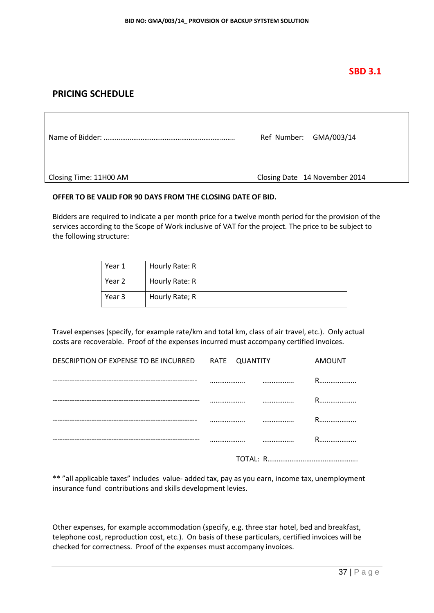## **SBD 3.1**

## **PRICING SCHEDULE**

|                        | Ref Number: GMA/003/14        |
|------------------------|-------------------------------|
| Closing Time: 11H00 AM | Closing Date 14 November 2014 |

#### **OFFER TO BE VALID FOR 90 DAYS FROM THE CLOSING DATE OF BID.**

Bidders are required to indicate a per month price for a twelve month period for the provision of the services according to the Scope of Work inclusive of VAT for the project. The price to be subject to the following structure:

| Year 1 | Hourly Rate: R |
|--------|----------------|
| Year 2 | Hourly Rate: R |
| Year 3 | Hourly Rate; R |

Travel expenses (specify, for example rate/km and total km, class of air travel, etc.). Only actual costs are recoverable. Proof of the expenses incurred must accompany certified invoices.

| DESCRIPTION OF EXPENSE TO BE INCURRED RATE QUANTITY | <b>AMOUNT</b> |
|-----------------------------------------------------|---------------|
|                                                     | <br>R.        |
|                                                     |               |
|                                                     |               |
|                                                     |               |
|                                                     |               |

\*\* "all applicable taxes" includes value- added tax, pay as you earn, income tax, unemployment insurance fund contributions and skills development levies.

Other expenses, for example accommodation (specify, e.g. three star hotel, bed and breakfast, telephone cost, reproduction cost, etc.). On basis of these particulars, certified invoices will be checked for correctness. Proof of the expenses must accompany invoices.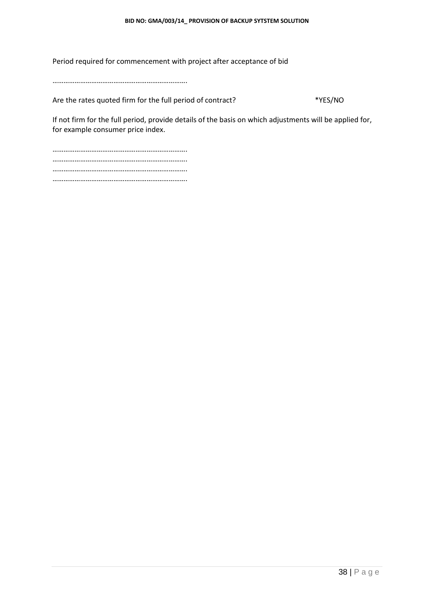Period required for commencement with project after acceptance of bid

……………………………………………………………….

Are the rates quoted firm for the full period of contract? \*YES/NO

If not firm for the full period, provide details of the basis on which adjustments will be applied for, for example consumer price index.

………………………………………………………………. ………………………………………………………………. ………………………………………………………………. ……………………………………………………………….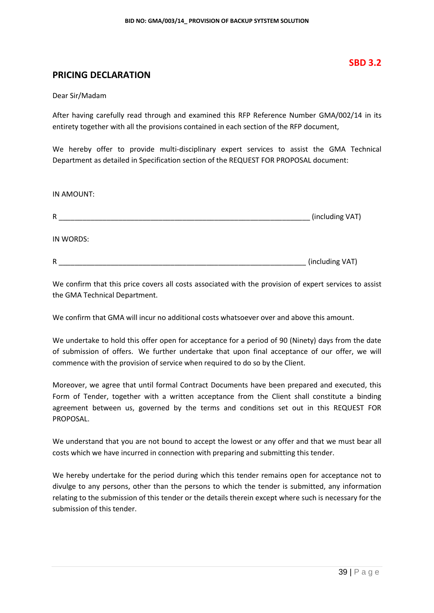### **PRICING DECLARATION**

Dear Sir/Madam

After having carefully read through and examined this RFP Reference Number GMA/002/14 in its entirety together with all the provisions contained in each section of the RFP document,

We hereby offer to provide multi-disciplinary expert services to assist the GMA Technical Department as detailed in Specification section of the REQUEST FOR PROPOSAL document:

IN AMOUNT:

| R         | (including VAT) |
|-----------|-----------------|
| IN WORDS: |                 |
| R         | (including VAT) |

We confirm that this price covers all costs associated with the provision of expert services to assist the GMA Technical Department.

We confirm that GMA will incur no additional costs whatsoever over and above this amount.

We undertake to hold this offer open for acceptance for a period of 90 (Ninety) days from the date of submission of offers. We further undertake that upon final acceptance of our offer, we will commence with the provision of service when required to do so by the Client.

Moreover, we agree that until formal Contract Documents have been prepared and executed, this Form of Tender, together with a written acceptance from the Client shall constitute a binding agreement between us, governed by the terms and conditions set out in this REQUEST FOR PROPOSAL.

We understand that you are not bound to accept the lowest or any offer and that we must bear all costs which we have incurred in connection with preparing and submitting this tender.

We hereby undertake for the period during which this tender remains open for acceptance not to divulge to any persons, other than the persons to which the tender is submitted, any information relating to the submission of this tender or the details therein except where such is necessary for the submission of this tender.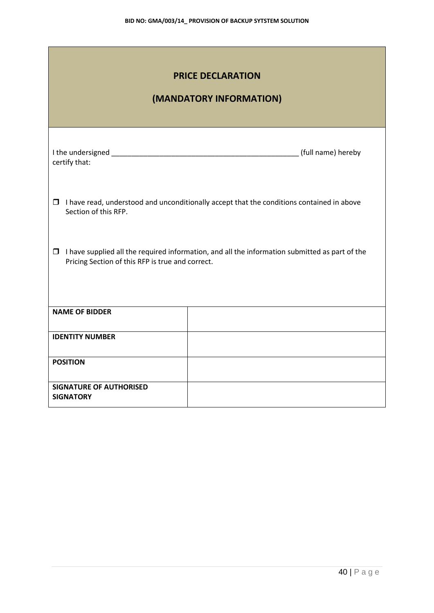| <b>PRICE DECLARATION</b><br>(MANDATORY INFORMATION)                                                                                                       |                                                                                                  |  |  |  |  |
|-----------------------------------------------------------------------------------------------------------------------------------------------------------|--------------------------------------------------------------------------------------------------|--|--|--|--|
| certify that:                                                                                                                                             |                                                                                                  |  |  |  |  |
| Section of this RFP.                                                                                                                                      | $\Box$ I have read, understood and unconditionally accept that the conditions contained in above |  |  |  |  |
| $\Box$ I have supplied all the required information, and all the information submitted as part of the<br>Pricing Section of this RFP is true and correct. |                                                                                                  |  |  |  |  |
| <b>NAME OF BIDDER</b>                                                                                                                                     |                                                                                                  |  |  |  |  |
| <b>IDENTITY NUMBER</b>                                                                                                                                    |                                                                                                  |  |  |  |  |
| <b>POSITION</b>                                                                                                                                           |                                                                                                  |  |  |  |  |
| <b>SIGNATURE OF AUTHORISED</b><br><b>SIGNATORY</b>                                                                                                        |                                                                                                  |  |  |  |  |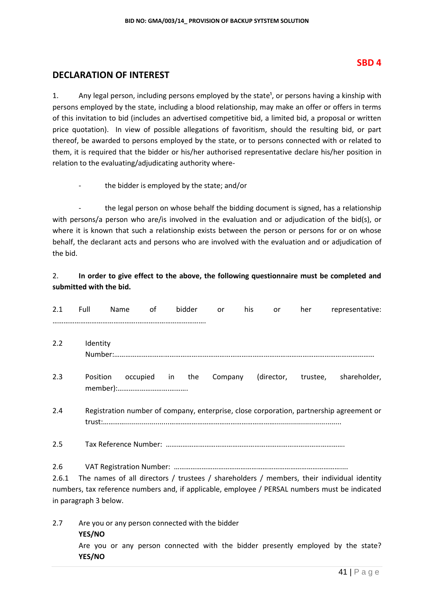#### **SBD 4**

### **DECLARATION OF INTEREST**

1. Any legal person, including persons employed by the state<sup>1</sup>, or persons having a kinship with persons employed by the state, including a blood relationship, may make an offer or offers in terms of this invitation to bid (includes an advertised competitive bid, a limited bid, a proposal or written price quotation). In view of possible allegations of favoritism, should the resulting bid, or part thereof, be awarded to persons employed by the state, or to persons connected with or related to them, it is required that the bidder or his/her authorised representative declare his/her position in relation to the evaluating/adjudicating authority where-

the bidder is employed by the state; and/or

the legal person on whose behalf the bidding document is signed, has a relationship with persons/a person who are/is involved in the evaluation and or adjudication of the bid(s), or where it is known that such a relationship exists between the person or persons for or on whose behalf, the declarant acts and persons who are involved with the evaluation and or adjudication of the bid.

#### 2. **In order to give effect to the above, the following questionnaire must be completed and submitted with the bid.**

| 2.1                                                                                                                                                                                                                                  | Full     | Name                                            | of              | bidder | or      | his | <b>or</b> | her | representative:                                                                         |
|--------------------------------------------------------------------------------------------------------------------------------------------------------------------------------------------------------------------------------------|----------|-------------------------------------------------|-----------------|--------|---------|-----|-----------|-----|-----------------------------------------------------------------------------------------|
| 2.2                                                                                                                                                                                                                                  | Identity |                                                 |                 |        |         |     |           |     |                                                                                         |
| 2.3                                                                                                                                                                                                                                  | Position |                                                 | occupied in the |        | Company |     |           |     | (director, trustee, shareholder,                                                        |
| 2.4                                                                                                                                                                                                                                  |          |                                                 |                 |        |         |     |           |     | Registration number of company, enterprise, close corporation, partnership agreement or |
| 2.5                                                                                                                                                                                                                                  |          |                                                 |                 |        |         |     |           |     |                                                                                         |
| 2.6<br>The names of all directors / trustees / shareholders / members, their individual identity<br>2.6.1<br>numbers, tax reference numbers and, if applicable, employee / PERSAL numbers must be indicated<br>in paragraph 3 below. |          |                                                 |                 |        |         |     |           |     |                                                                                         |
| 2.7                                                                                                                                                                                                                                  | YES/NO   | Are you or any person connected with the bidder |                 |        |         |     |           |     |                                                                                         |

Are you or any person connected with the bidder presently employed by the state? **YES/NO**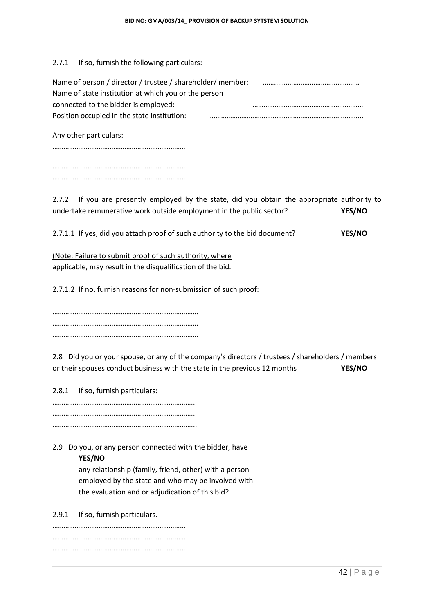2.7.1 If so, furnish the following particulars:

| Name of person / director / trustee / shareholder/ member: |  |
|------------------------------------------------------------|--|
| Name of state institution at which you or the person       |  |
| connected to the bidder is employed:                       |  |
| Position occupied in the state institution:                |  |
|                                                            |  |

Any other particulars:

………………………………………………………………

……………………………………………………………… ………………………………………………………………

2.7.2 If you are presently employed by the state, did you obtain the appropriate authority to undertake remunerative work outside employment in the public sector? **YES/NO**

2.7.1.1 If yes, did you attach proof of such authority to the bid document? **YES/NO**

(Note: Failure to submit proof of such authority, where applicable, may result in the disqualification of the bid.

2.7.1.2 If no, furnish reasons for non-submission of such proof:

……………………………………………………………………. ……………………………………………………………………. …………………………………………………………………….

2.8 Did you or your spouse, or any of the company's directors / trustees / shareholders / members or their spouses conduct business with the state in the previous 12 months **YES/NO**

2.8.1 If so, furnish particulars:

………………………………………………………………….. …………………………………………………………………..

…………………………………………………………………...

2.9 Do you, or any person connected with the bidder, have **YES/NO**

> any relationship (family, friend, other) with a person employed by the state and who may be involved with the evaluation and or adjudication of this bid?

2.9.1 If so, furnish particulars.

……………………………………………………………... …………………………………………………………..…. ………………………………………………………………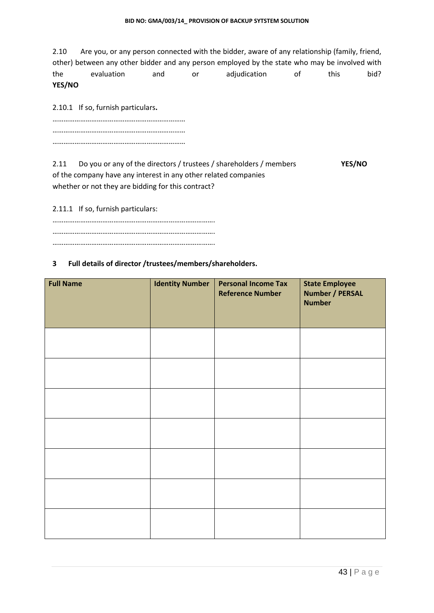2.10 Are you, or any person connected with the bidder, aware of any relationship (family, friend, other) between any other bidder and any person employed by the state who may be involved with the evaluation and or adjudication of this bid? **YES/NO**

2.10.1 If so, furnish particulars**.**

……………………………………………………………… ……………………………………………………………… ………………………………………………………………

2.11 Do you or any of the directors / trustees / shareholders / members **YES/NO** of the company have any interest in any other related companies whether or not they are bidding for this contract?

2.11.1 If so, furnish particulars:

……………………………………………………………………………. ……………………………………………………………………………. …………………………………………………………………………….

#### **3 Full details of director /trustees/members/shareholders.**

| <b>Full Name</b> | <b>Identity Number</b> | <b>Personal Income Tax</b><br><b>Reference Number</b> | <b>State Employee</b><br><b>Number / PERSAL</b><br><b>Number</b> |
|------------------|------------------------|-------------------------------------------------------|------------------------------------------------------------------|
|                  |                        |                                                       |                                                                  |
|                  |                        |                                                       |                                                                  |
|                  |                        |                                                       |                                                                  |
|                  |                        |                                                       |                                                                  |
|                  |                        |                                                       |                                                                  |
|                  |                        |                                                       |                                                                  |
|                  |                        |                                                       |                                                                  |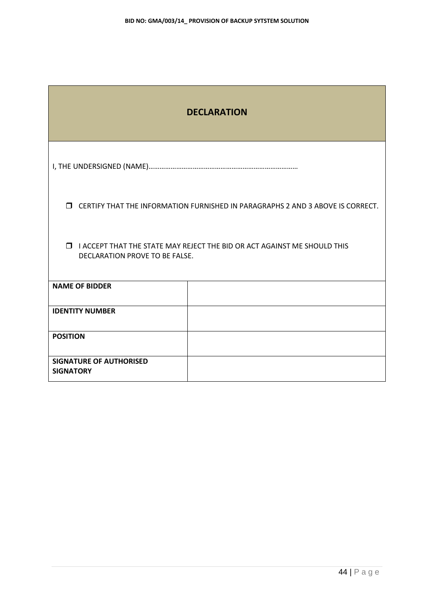| <b>DECLARATION</b>                                                                                                 |                                                                                         |  |  |  |
|--------------------------------------------------------------------------------------------------------------------|-----------------------------------------------------------------------------------------|--|--|--|
|                                                                                                                    |                                                                                         |  |  |  |
|                                                                                                                    | <b>I</b> CERTIFY THAT THE INFORMATION FURNISHED IN PARAGRAPHS 2 AND 3 ABOVE IS CORRECT. |  |  |  |
| <b>IN ACCEPT THAT THE STATE MAY REJECT THE BID OR ACT AGAINST ME SHOULD THIS</b><br>DECLARATION PROVE TO BE FALSE. |                                                                                         |  |  |  |
| <b>NAME OF BIDDER</b>                                                                                              |                                                                                         |  |  |  |
| <b>IDENTITY NUMBER</b>                                                                                             |                                                                                         |  |  |  |
| <b>POSITION</b>                                                                                                    |                                                                                         |  |  |  |
| <b>SIGNATURE OF AUTHORISED</b><br><b>SIGNATORY</b>                                                                 |                                                                                         |  |  |  |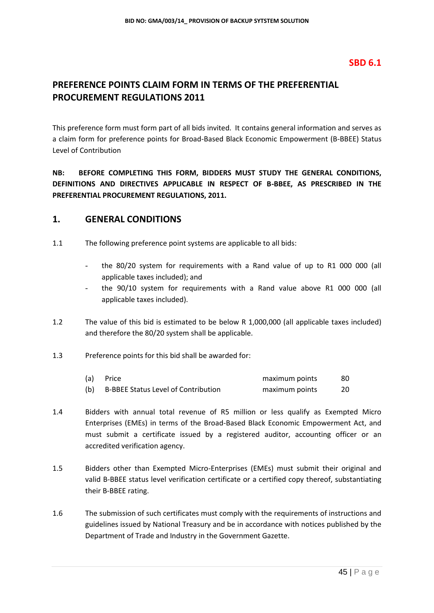## **SBD 6.1**

## **PREFERENCE POINTS CLAIM FORM IN TERMS OF THE PREFERENTIAL PROCUREMENT REGULATIONS 2011**

This preference form must form part of all bids invited. It contains general information and serves as a claim form for preference points for Broad-Based Black Economic Empowerment (B-BBEE) Status Level of Contribution

**NB: BEFORE COMPLETING THIS FORM, BIDDERS MUST STUDY THE GENERAL CONDITIONS, DEFINITIONS AND DIRECTIVES APPLICABLE IN RESPECT OF B-BBEE, AS PRESCRIBED IN THE PREFERENTIAL PROCUREMENT REGULATIONS, 2011.** 

#### **1. GENERAL CONDITIONS**

- 1.1 The following preference point systems are applicable to all bids:
	- the 80/20 system for requirements with a Rand value of up to R1 000 000 (all applicable taxes included); and
	- the 90/10 system for requirements with a Rand value above R1 000 000 (all applicable taxes included).
- 1.2 The value of this bid is estimated to be below R 1,000,000 (all applicable taxes included) and therefore the 80/20 system shall be applicable.
- 1.3 Preference points for this bid shall be awarded for:

| (a) | Price                                      | maximum points | 80 |
|-----|--------------------------------------------|----------------|----|
|     | <b>B-BBEE Status Level of Contribution</b> | maximum points |    |

- 1.4 Bidders with annual total revenue of R5 million or less qualify as Exempted Micro Enterprises (EMEs) in terms of the Broad-Based Black Economic Empowerment Act, and must submit a certificate issued by a registered auditor, accounting officer or an accredited verification agency.
- 1.5 Bidders other than Exempted Micro-Enterprises (EMEs) must submit their original and valid B-BBEE status level verification certificate or a certified copy thereof, substantiating their B-BBEE rating.
- 1.6 The submission of such certificates must comply with the requirements of instructions and guidelines issued by National Treasury and be in accordance with notices published by the Department of Trade and Industry in the Government Gazette.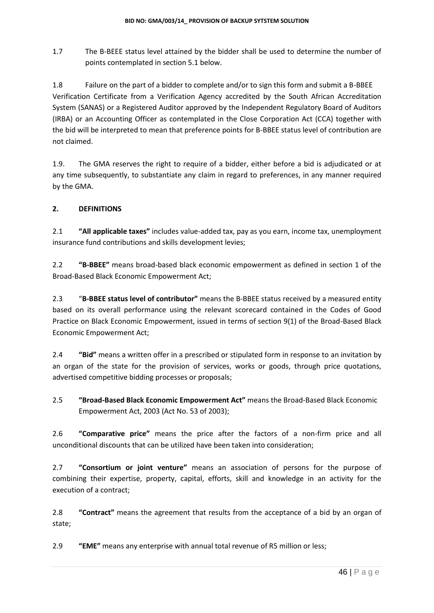1.7 The B-BEEE status level attained by the bidder shall be used to determine the number of points contemplated in section 5.1 below.

1.8 Failure on the part of a bidder to complete and/or to sign this form and submit a B-BBEE Verification Certificate from a Verification Agency accredited by the South African Accreditation System (SANAS) or a Registered Auditor approved by the Independent Regulatory Board of Auditors (IRBA) or an Accounting Officer as contemplated in the Close Corporation Act (CCA) together with the bid will be interpreted to mean that preference points for B-BBEE status level of contribution are not claimed.

1.9. The GMA reserves the right to require of a bidder, either before a bid is adjudicated or at any time subsequently, to substantiate any claim in regard to preferences, in any manner required by the GMA.

#### **2. DEFINITIONS**

2.1 **"All applicable taxes"** includes value-added tax, pay as you earn, income tax, unemployment insurance fund contributions and skills development levies;

2.2 **"B-BBEE"** means broad-based black economic empowerment as defined in section 1 of the Broad-Based Black Economic Empowerment Act;

2.3 "**B-BBEE status level of contributor"** means the B-BBEE status received by a measured entity based on its overall performance using the relevant scorecard contained in the Codes of Good Practice on Black Economic Empowerment, issued in terms of section 9(1) of the Broad-Based Black Economic Empowerment Act;

2.4 **"Bid"** means a written offer in a prescribed or stipulated form in response to an invitation by an organ of the state for the provision of services, works or goods, through price quotations, advertised competitive bidding processes or proposals;

2.5 **"Broad-Based Black Economic Empowerment Act"** means the Broad-Based Black Economic Empowerment Act, 2003 (Act No. 53 of 2003);

2.6 **"Comparative price"** means the price after the factors of a non-firm price and all unconditional discounts that can be utilized have been taken into consideration;

2.7 **"Consortium or joint venture"** means an association of persons for the purpose of combining their expertise, property, capital, efforts, skill and knowledge in an activity for the execution of a contract;

2.8 **"Contract"** means the agreement that results from the acceptance of a bid by an organ of state;

2.9 **"EME"** means any enterprise with annual total revenue of R5 million or less;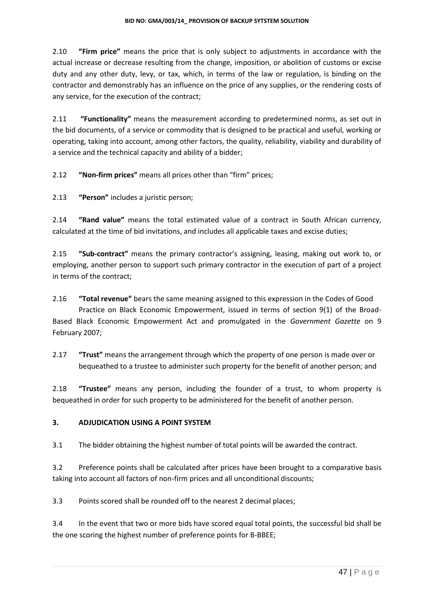2.10 **"Firm price"** means the price that is only subject to adjustments in accordance with the actual increase or decrease resulting from the change, imposition, or abolition of customs or excise duty and any other duty, levy, or tax, which, in terms of the law or regulation, is binding on the contractor and demonstrably has an influence on the price of any supplies, or the rendering costs of any service, for the execution of the contract;

2.11 **"Functionality"** means the measurement according to predetermined norms, as set out in the bid documents, of a service or commodity that is designed to be practical and useful, working or operating, taking into account, among other factors, the quality, reliability, viability and durability of a service and the technical capacity and ability of a bidder;

2.12 **"Non-firm prices"** means all prices other than "firm" prices;

2.13 **"Person"** includes a juristic person;

2.14 **"Rand value"** means the total estimated value of a contract in South African currency, calculated at the time of bid invitations, and includes all applicable taxes and excise duties;

2.15 **"Sub-contract"** means the primary contractor's assigning, leasing, making out work to, or employing, another person to support such primary contractor in the execution of part of a project in terms of the contract;

2.16 **"Total revenue"** bears the same meaning assigned to this expression in the Codes of Good Practice on Black Economic Empowerment, issued in terms of section 9(1) of the Broad-Based Black Economic Empowerment Act and promulgated in the *Government Gazette* on 9 February 2007;

2.17 **"Trust"** means the arrangement through which the property of one person is made over or bequeathed to a trustee to administer such property for the benefit of another person; and

2.18 **"Trustee"** means any person, including the founder of a trust, to whom property is bequeathed in order for such property to be administered for the benefit of another person.

#### **3. ADJUDICATION USING A POINT SYSTEM**

3.1 The bidder obtaining the highest number of total points will be awarded the contract.

3.2 Preference points shall be calculated after prices have been brought to a comparative basis taking into account all factors of non-firm prices and all unconditional discounts;

3.3 Points scored shall be rounded off to the nearest 2 decimal places;

3.4 In the event that two or more bids have scored equal total points, the successful bid shall be the one scoring the highest number of preference points for B-BBEE;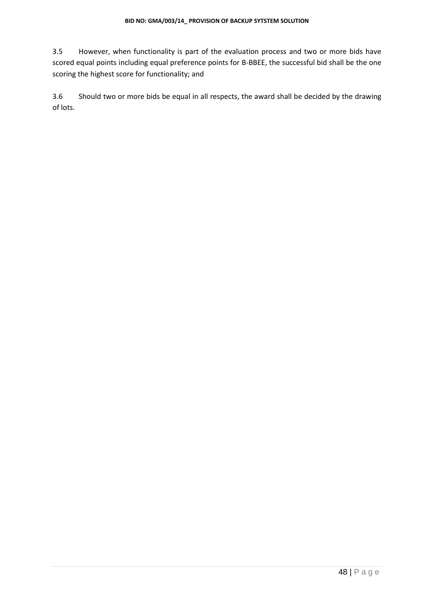3.5 However, when functionality is part of the evaluation process and two or more bids have scored equal points including equal preference points for B-BBEE, the successful bid shall be the one scoring the highest score for functionality; and

3.6 Should two or more bids be equal in all respects, the award shall be decided by the drawing of lots.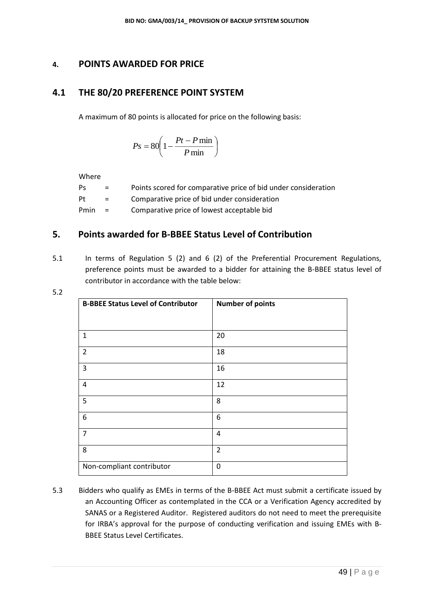### **4. POINTS AWARDED FOR PRICE**

## **4.1 THE 80/20 PREFERENCE POINT SYSTEM**

A maximum of 80 points is allocated for price on the following basis:

$$
Ps = 80 \left( 1 - \frac{Pt - P \min}{P \min} \right)
$$

Where

| Ps   | $=$ | Points scored for comparative price of bid under consideration |
|------|-----|----------------------------------------------------------------|
| Pt   | $=$ | Comparative price of bid under consideration                   |
| Pmin | $=$ | Comparative price of lowest acceptable bid                     |

## **5. Points awarded for B-BBEE Status Level of Contribution**

5.1 In terms of Regulation 5 (2) and 6 (2) of the Preferential Procurement Regulations, preference points must be awarded to a bidder for attaining the B-BBEE status level of contributor in accordance with the table below:

| <b>B-BBEE Status Level of Contributor</b> | <b>Number of points</b> |
|-------------------------------------------|-------------------------|
|                                           |                         |
|                                           |                         |
| $\mathbf{1}$                              | 20                      |
| $\overline{2}$                            | 18                      |
| 3                                         | 16                      |
| $\overline{4}$                            | 12                      |
| 5                                         | 8                       |
| 6                                         | 6                       |
| $\overline{7}$                            | 4                       |
| 8                                         | $\overline{2}$          |
| Non-compliant contributor                 | 0                       |

5.3 Bidders who qualify as EMEs in terms of the B-BBEE Act must submit a certificate issued by an Accounting Officer as contemplated in the CCA or a Verification Agency accredited by SANAS or a Registered Auditor. Registered auditors do not need to meet the prerequisite for IRBA's approval for the purpose of conducting verification and issuing EMEs with B-BBEE Status Level Certificates.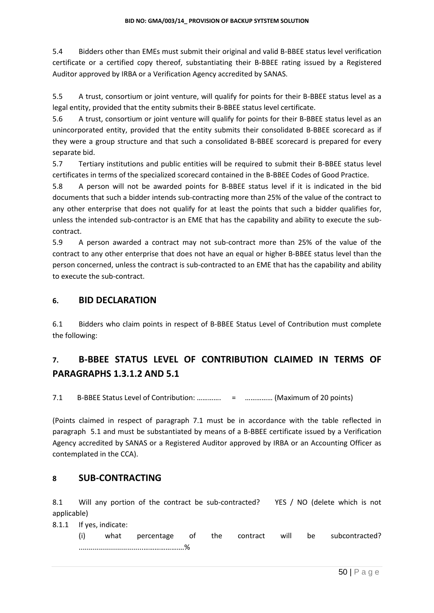5.4 Bidders other than EMEs must submit their original and valid B-BBEE status level verification certificate or a certified copy thereof, substantiating their B-BBEE rating issued by a Registered Auditor approved by IRBA or a Verification Agency accredited by SANAS.

5.5 A trust, consortium or joint venture, will qualify for points for their B-BBEE status level as a legal entity, provided that the entity submits their B-BBEE status level certificate.

5.6 A trust, consortium or joint venture will qualify for points for their B-BBEE status level as an unincorporated entity, provided that the entity submits their consolidated B-BBEE scorecard as if they were a group structure and that such a consolidated B-BBEE scorecard is prepared for every separate bid.

5.7 Tertiary institutions and public entities will be required to submit their B-BBEE status level certificates in terms of the specialized scorecard contained in the B-BBEE Codes of Good Practice.

5.8 A person will not be awarded points for B-BBEE status level if it is indicated in the bid documents that such a bidder intends sub-contracting more than 25% of the value of the contract to any other enterprise that does not qualify for at least the points that such a bidder qualifies for, unless the intended sub-contractor is an EME that has the capability and ability to execute the subcontract.

5.9 A person awarded a contract may not sub-contract more than 25% of the value of the contract to any other enterprise that does not have an equal or higher B-BBEE status level than the person concerned, unless the contract is sub-contracted to an EME that has the capability and ability to execute the sub-contract.

## **6. BID DECLARATION**

6.1 Bidders who claim points in respect of B-BBEE Status Level of Contribution must complete the following:

## **7. B-BBEE STATUS LEVEL OF CONTRIBUTION CLAIMED IN TERMS OF PARAGRAPHS 1.3.1.2 AND 5.1**

7.1 B-BBEE Status Level of Contribution: …………. = …………… (Maximum of 20 points)

(Points claimed in respect of paragraph 7.1 must be in accordance with the table reflected in paragraph 5.1 and must be substantiated by means of a B-BBEE certificate issued by a Verification Agency accredited by SANAS or a Registered Auditor approved by IRBA or an Accounting Officer as contemplated in the CCA).

#### **8 SUB-CONTRACTING**

8.1 Will any portion of the contract be sub-contracted? YES / NO (delete which is not applicable)

8.1.1 If yes, indicate:

(i) what percentage of the contract will be subcontracted? ................................……………….…%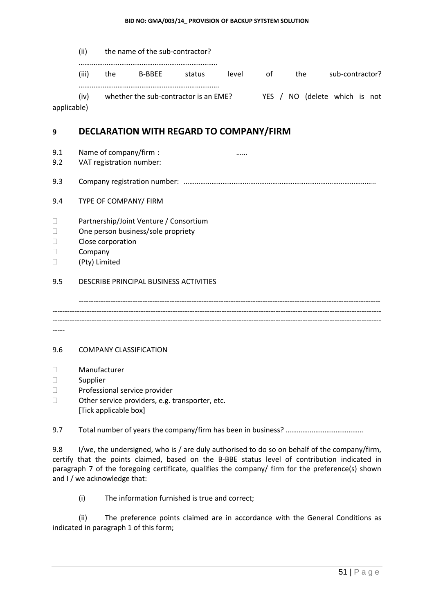(ii) the name of the sub-contractor?

…….…………………………………………………………..

(iii) the B-BBEE status level of the sub-contractor? …………………………………………………………………. (iv) whether the sub-contractor is an EME? YES / NO (delete which is not

applicable)

## **9 DECLARATION WITH REGARD TO COMPANY/FIRM**

9.1 Name of company/firm : many company is a set of company of  $\ldots$  is a set of company  $\ldots$  is a set of  $\ldots$  is a set of  $\ldots$  is a set of  $\ldots$  is a set of  $\ldots$  is a set of  $\ldots$  is a set of  $\ldots$  is a set of  $\ldots$  i

- 9.2 VAT registration number:
- 9.3 Company registration number: …………………………………………………………………………………………..

#### 9.4 TYPE OF COMPANY/ FIRM

- □ Partnership/Joint Venture / Consortium
- □ One person business/sole propriety
- D Close corporation
- D Company
- (Pty) Limited

#### 9.5 DESCRIBE PRINCIPAL BUSINESS ACTIVITIES

--------------------------------------------------------------------------------------------------------------------------- -------------------------------------------------------------------------------------------------------------------------------------- -------------------------------------------------------------------------------------------------------------------------------------- -----

#### 9.6 COMPANY CLASSIFICATION

- Manufacturer
- □ Supplier
- D Professional service provider
- □ Other service providers, e.g. transporter, etc. [Tick applicable box]

9.7 Total number of years the company/firm has been in business? ………………………………………

9.8 I/we, the undersigned, who is / are duly authorised to do so on behalf of the company/firm, certify that the points claimed, based on the B-BBE status level of contribution indicated in paragraph 7 of the foregoing certificate, qualifies the company/ firm for the preference(s) shown and I / we acknowledge that:

(i) The information furnished is true and correct;

(ii) The preference points claimed are in accordance with the General Conditions as indicated in paragraph 1 of this form;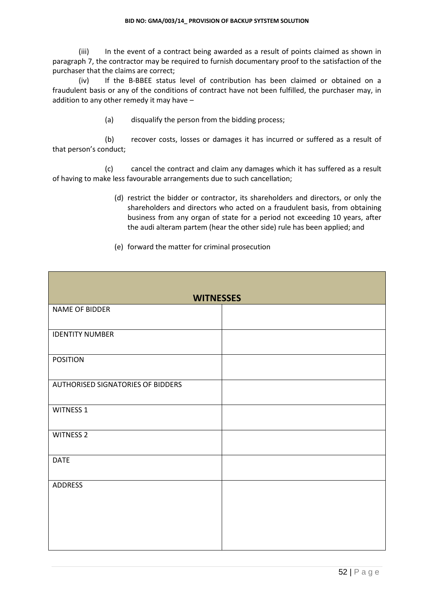(iii) In the event of a contract being awarded as a result of points claimed as shown in paragraph 7, the contractor may be required to furnish documentary proof to the satisfaction of the purchaser that the claims are correct;

(iv) If the B-BBEE status level of contribution has been claimed or obtained on a fraudulent basis or any of the conditions of contract have not been fulfilled, the purchaser may, in addition to any other remedy it may have –

(a) disqualify the person from the bidding process;

(b) recover costs, losses or damages it has incurred or suffered as a result of that person's conduct;

(c) cancel the contract and claim any damages which it has suffered as a result of having to make less favourable arrangements due to such cancellation;

- (d) restrict the bidder or contractor, its shareholders and directors, or only the shareholders and directors who acted on a fraudulent basis, from obtaining business from any organ of state for a period not exceeding 10 years, after the audi alteram partem (hear the other side) rule has been applied; and
- (e) forward the matter for criminal prosecution

| <b>WITNESSES</b>                  |  |
|-----------------------------------|--|
| NAME OF BIDDER                    |  |
|                                   |  |
| <b>IDENTITY NUMBER</b>            |  |
|                                   |  |
| <b>POSITION</b>                   |  |
|                                   |  |
| AUTHORISED SIGNATORIES OF BIDDERS |  |
|                                   |  |
| <b>WITNESS 1</b>                  |  |
|                                   |  |
| <b>WITNESS 2</b>                  |  |
|                                   |  |
| <b>DATE</b>                       |  |
|                                   |  |
| <b>ADDRESS</b>                    |  |
|                                   |  |
|                                   |  |
|                                   |  |
|                                   |  |
|                                   |  |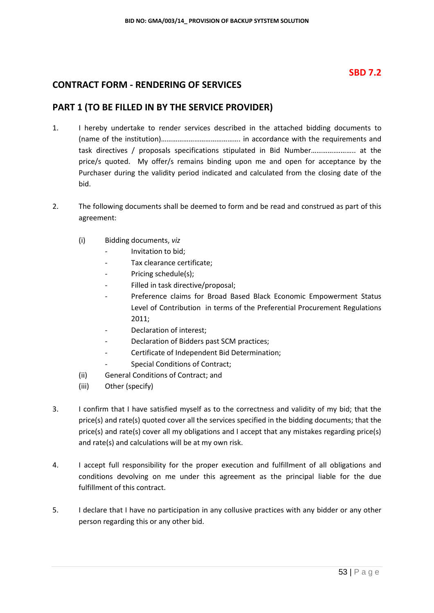## **SBD 7.2**

## **CONTRACT FORM - RENDERING OF SERVICES**

## **PART 1 (TO BE FILLED IN BY THE SERVICE PROVIDER)**

- 1. I hereby undertake to render services described in the attached bidding documents to (name of the institution)……………………………………. in accordance with the requirements and task directives / proposals specifications stipulated in Bid Number………….……….. at the price/s quoted. My offer/s remains binding upon me and open for acceptance by the Purchaser during the validity period indicated and calculated from the closing date of the bid.
- 2. The following documents shall be deemed to form and be read and construed as part of this agreement:
	- (i) Bidding documents, *viz*
		- *-* Invitation to bid;
		- *-* Tax clearance certificate;
		- *-* Pricing schedule(s);
		- *-* Filled in task directive/proposal;
		- Preference claims for Broad Based Black Economic Empowerment Status Level of Contribution in terms of the Preferential Procurement Regulations 2011;
		- *-* Declaration of interest;
		- *-* Declaration of Bidders past SCM practices;
		- *-* Certificate of Independent Bid Determination;
		- *-* Special Conditions of Contract;
	- (ii) General Conditions of Contract; and
	- (iii) Other (specify)
- 3. I confirm that I have satisfied myself as to the correctness and validity of my bid; that the price(s) and rate(s) quoted cover all the services specified in the bidding documents; that the price(s) and rate(s) cover all my obligations and I accept that any mistakes regarding price(s) and rate(s) and calculations will be at my own risk.
- 4. I accept full responsibility for the proper execution and fulfillment of all obligations and conditions devolving on me under this agreement as the principal liable for the due fulfillment of this contract.
- 5. I declare that I have no participation in any collusive practices with any bidder or any other person regarding this or any other bid.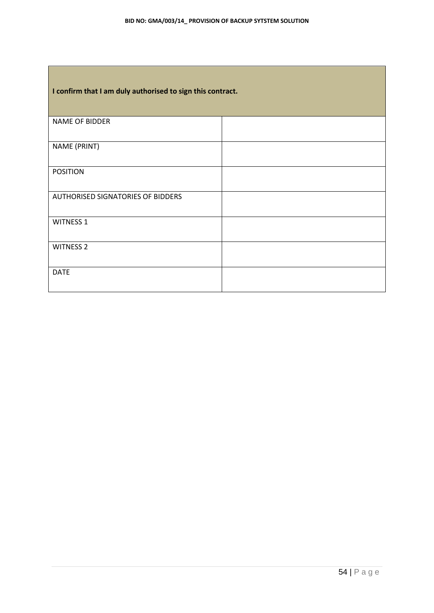г

| I confirm that I am duly authorised to sign this contract. |  |  |
|------------------------------------------------------------|--|--|
| NAME OF BIDDER                                             |  |  |
| NAME (PRINT)                                               |  |  |
| <b>POSITION</b>                                            |  |  |
| <b>AUTHORISED SIGNATORIES OF BIDDERS</b>                   |  |  |
| <b>WITNESS 1</b>                                           |  |  |
| <b>WITNESS 2</b>                                           |  |  |
| <b>DATE</b>                                                |  |  |

٦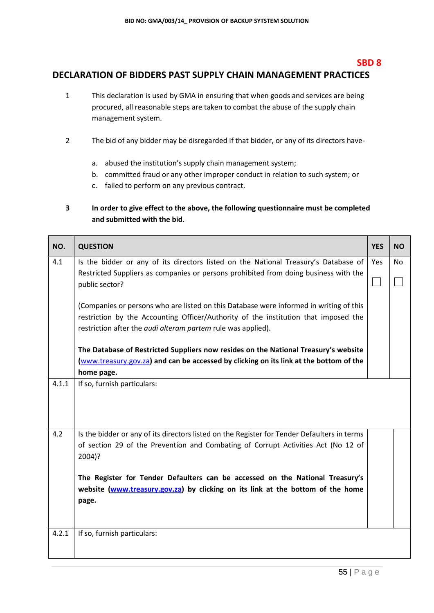#### **SBD 8**

## **DECLARATION OF BIDDERS PAST SUPPLY CHAIN MANAGEMENT PRACTICES**

- 1 This declaration is used by GMA in ensuring that when goods and services are being procured, all reasonable steps are taken to combat the abuse of the supply chain management system.
- 2 The bid of any bidder may be disregarded if that bidder, or any of its directors have
	- a. abused the institution's supply chain management system;
	- b. committed fraud or any other improper conduct in relation to such system; or
	- c. failed to perform on any previous contract.

#### **3 In order to give effect to the above, the following questionnaire must be completed and submitted with the bid.**

| NO.   | <b>QUESTION</b>                                                                             | <b>YES</b>   | <b>NO</b> |
|-------|---------------------------------------------------------------------------------------------|--------------|-----------|
| 4.1   | Is the bidder or any of its directors listed on the National Treasury's Database of         | Yes          | No        |
|       | Restricted Suppliers as companies or persons prohibited from doing business with the        |              |           |
|       | public sector?                                                                              | $\mathbf{I}$ |           |
|       | (Companies or persons who are listed on this Database were informed in writing of this      |              |           |
|       | restriction by the Accounting Officer/Authority of the institution that imposed the         |              |           |
|       | restriction after the <i>audi alteram partem</i> rule was applied).                         |              |           |
|       | The Database of Restricted Suppliers now resides on the National Treasury's website         |              |           |
|       | (www.treasury.gov.za) and can be accessed by clicking on its link at the bottom of the      |              |           |
|       | home page.                                                                                  |              |           |
| 4.1.1 | If so, furnish particulars:                                                                 |              |           |
|       |                                                                                             |              |           |
| 4.2   | Is the bidder or any of its directors listed on the Register for Tender Defaulters in terms |              |           |
|       | of section 29 of the Prevention and Combating of Corrupt Activities Act (No 12 of<br>2004)? |              |           |
|       | The Register for Tender Defaulters can be accessed on the National Treasury's               |              |           |
|       | website (www.treasury.gov.za) by clicking on its link at the bottom of the home             |              |           |
|       | page.                                                                                       |              |           |
|       |                                                                                             |              |           |
| 4.2.1 | If so, furnish particulars:                                                                 |              |           |
|       |                                                                                             |              |           |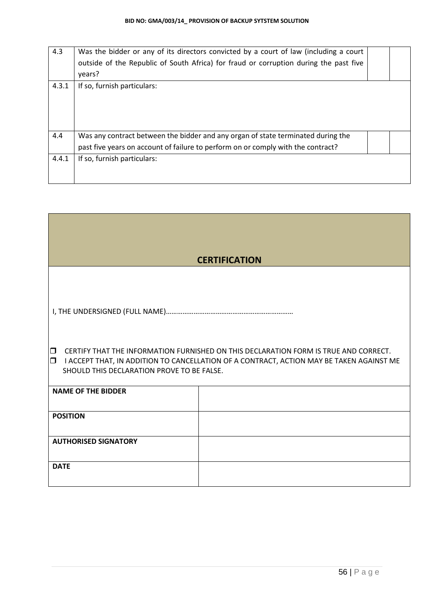| 4.3   | Was the bidder or any of its directors convicted by a court of law (including a court<br>outside of the Republic of South Africa) for fraud or corruption during the past five<br>years? |  |
|-------|------------------------------------------------------------------------------------------------------------------------------------------------------------------------------------------|--|
| 4.3.1 | If so, furnish particulars:                                                                                                                                                              |  |
| 4.4   | Was any contract between the bidder and any organ of state terminated during the                                                                                                         |  |
|       | past five years on account of failure to perform on or comply with the contract?                                                                                                         |  |
| 4.4.1 | If so, furnish particulars:                                                                                                                                                              |  |

|                                            | <b>CERTIFICATION</b>                                                                                                                                                             |
|--------------------------------------------|----------------------------------------------------------------------------------------------------------------------------------------------------------------------------------|
|                                            |                                                                                                                                                                                  |
|                                            |                                                                                                                                                                                  |
|                                            |                                                                                                                                                                                  |
|                                            |                                                                                                                                                                                  |
|                                            |                                                                                                                                                                                  |
|                                            |                                                                                                                                                                                  |
|                                            |                                                                                                                                                                                  |
| $\Box$<br>$\Box$                           | CERTIFY THAT THE INFORMATION FURNISHED ON THIS DECLARATION FORM IS TRUE AND CORRECT.<br>I ACCEPT THAT, IN ADDITION TO CANCELLATION OF A CONTRACT, ACTION MAY BE TAKEN AGAINST ME |
| SHOULD THIS DECLARATION PROVE TO BE FALSE. |                                                                                                                                                                                  |
|                                            |                                                                                                                                                                                  |
| <b>NAME OF THE BIDDER</b>                  |                                                                                                                                                                                  |
|                                            |                                                                                                                                                                                  |
| <b>POSITION</b>                            |                                                                                                                                                                                  |
|                                            |                                                                                                                                                                                  |
| <b>AUTHORISED SIGNATORY</b>                |                                                                                                                                                                                  |
|                                            |                                                                                                                                                                                  |
| <b>DATE</b>                                |                                                                                                                                                                                  |
|                                            |                                                                                                                                                                                  |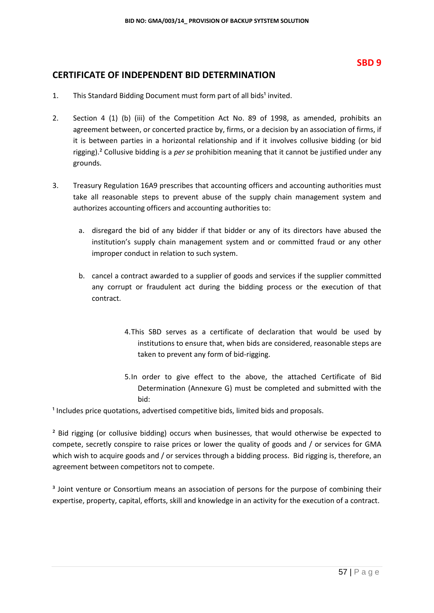## **CERTIFICATE OF INDEPENDENT BID DETERMINATION**

- 1. This Standard Bidding Document must form part of all bids<sup>1</sup> invited.
- 2. Section 4 (1) (b) (iii) of the Competition Act No. 89 of 1998, as amended, prohibits an agreement between, or concerted practice by, firms, or a decision by an association of firms, if it is between parties in a horizontal relationship and if it involves collusive bidding (or bid rigging).² Collusive bidding is a *per se* prohibition meaning that it cannot be justified under any grounds.
- 3. Treasury Regulation 16A9 prescribes that accounting officers and accounting authorities must take all reasonable steps to prevent abuse of the supply chain management system and authorizes accounting officers and accounting authorities to:
	- a. disregard the bid of any bidder if that bidder or any of its directors have abused the institution's supply chain management system and or committed fraud or any other improper conduct in relation to such system.
	- b. cancel a contract awarded to a supplier of goods and services if the supplier committed any corrupt or fraudulent act during the bidding process or the execution of that contract.
		- 4.This SBD serves as a certificate of declaration that would be used by institutions to ensure that, when bids are considered, reasonable steps are taken to prevent any form of bid-rigging.
		- 5.In order to give effect to the above, the attached Certificate of Bid Determination (Annexure G) must be completed and submitted with the bid:

 $1$  Includes price quotations, advertised competitive bids, limited bids and proposals.

<sup>2</sup> Bid rigging (or collusive bidding) occurs when businesses, that would otherwise be expected to compete, secretly conspire to raise prices or lower the quality of goods and / or services for GMA which wish to acquire goods and / or services through a bidding process. Bid rigging is, therefore, an agreement between competitors not to compete.

<sup>3</sup> Joint venture or Consortium means an association of persons for the purpose of combining their expertise, property, capital, efforts, skill and knowledge in an activity for the execution of a contract.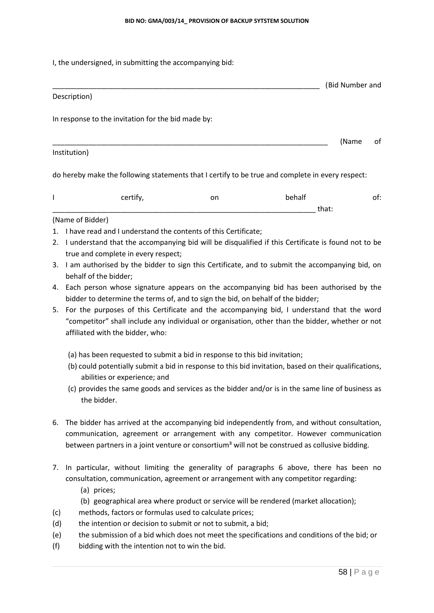I, the undersigned, in submitting the accompanying bid:

# \_\_\_\_\_\_\_\_\_\_\_\_\_\_\_\_\_\_\_\_\_\_\_\_\_\_\_\_\_\_\_\_\_\_\_\_\_\_\_\_\_\_\_\_\_\_\_\_\_\_\_\_\_\_\_\_\_\_\_\_\_\_\_\_\_\_\_ (Bid Number and Description) In response to the invitation for the bid made by:

\_\_\_\_\_\_\_\_\_\_\_\_\_\_\_\_\_\_\_\_\_\_\_\_\_\_\_\_\_\_\_\_\_\_\_\_\_\_\_\_\_\_\_\_\_\_\_\_\_\_\_\_\_\_\_\_\_\_\_\_\_\_\_\_\_\_\_\_\_ (Name of

#### Institution)

do hereby make the following statements that I certify to be true and complete in every respect:

| ----- | <br>$\cdot$ . | ___   | __ |
|-------|---------------|-------|----|
|       |               | uidt. |    |

#### (Name of Bidder)

- 1. I have read and I understand the contents of this Certificate;
- 2. I understand that the accompanying bid will be disqualified if this Certificate is found not to be true and complete in every respect;
- 3. I am authorised by the bidder to sign this Certificate, and to submit the accompanying bid, on behalf of the bidder;
- 4. Each person whose signature appears on the accompanying bid has been authorised by the bidder to determine the terms of, and to sign the bid, on behalf of the bidder;
- 5. For the purposes of this Certificate and the accompanying bid, I understand that the word "competitor" shall include any individual or organisation, other than the bidder, whether or not affiliated with the bidder, who:
	- (a) has been requested to submit a bid in response to this bid invitation;
	- (b) could potentially submit a bid in response to this bid invitation, based on their qualifications, abilities or experience; and
	- (c) provides the same goods and services as the bidder and/or is in the same line of business as the bidder.
- 6. The bidder has arrived at the accompanying bid independently from, and without consultation, communication, agreement or arrangement with any competitor. However communication between partners in a joint venture or consortium<sup>3</sup> will not be construed as collusive bidding.
- 7. In particular, without limiting the generality of paragraphs 6 above, there has been no consultation, communication, agreement or arrangement with any competitor regarding:
	- (a) prices;
	- (b) geographical area where product or service will be rendered (market allocation);
- (c) methods, factors or formulas used to calculate prices;
- (d) the intention or decision to submit or not to submit, a bid;
- (e) the submission of a bid which does not meet the specifications and conditions of the bid; or
- (f) bidding with the intention not to win the bid.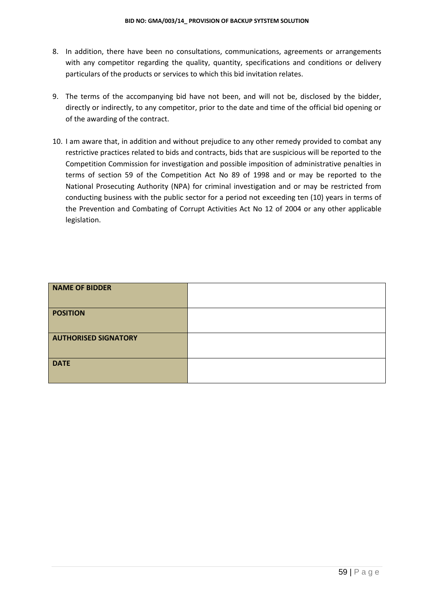- 8. In addition, there have been no consultations, communications, agreements or arrangements with any competitor regarding the quality, quantity, specifications and conditions or delivery particulars of the products or services to which this bid invitation relates.
- 9. The terms of the accompanying bid have not been, and will not be, disclosed by the bidder, directly or indirectly, to any competitor, prior to the date and time of the official bid opening or of the awarding of the contract.
- 10. I am aware that, in addition and without prejudice to any other remedy provided to combat any restrictive practices related to bids and contracts, bids that are suspicious will be reported to the Competition Commission for investigation and possible imposition of administrative penalties in terms of section 59 of the Competition Act No 89 of 1998 and or may be reported to the National Prosecuting Authority (NPA) for criminal investigation and or may be restricted from conducting business with the public sector for a period not exceeding ten (10) years in terms of the Prevention and Combating of Corrupt Activities Act No 12 of 2004 or any other applicable legislation.

| <b>NAME OF BIDDER</b>       |  |
|-----------------------------|--|
| <b>POSITION</b>             |  |
| <b>AUTHORISED SIGNATORY</b> |  |
| <b>DATE</b>                 |  |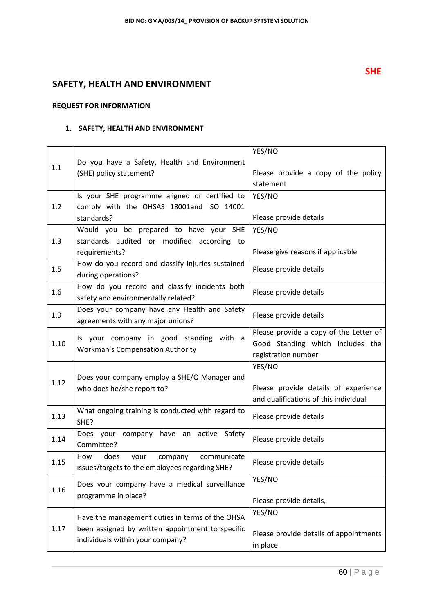## **SAFETY, HEALTH AND ENVIRONMENT**

#### **REQUEST FOR INFORMATION**

#### **1. SAFETY, HEALTH AND ENVIRONMENT**

|      |                                                   | YES/NO                                 |  |
|------|---------------------------------------------------|----------------------------------------|--|
| 1.1  | Do you have a Safety, Health and Environment      |                                        |  |
|      | (SHE) policy statement?                           | Please provide a copy of the policy    |  |
|      |                                                   | statement                              |  |
|      | Is your SHE programme aligned or certified to     | YES/NO                                 |  |
| 1.2  | comply with the OHSAS 18001and ISO 14001          |                                        |  |
|      | standards?                                        | Please provide details                 |  |
|      | Would you be prepared to have your SHE            | YES/NO                                 |  |
| 1.3  | standards audited or modified according to        |                                        |  |
|      | requirements?                                     | Please give reasons if applicable      |  |
| 1.5  | How do you record and classify injuries sustained | Please provide details                 |  |
|      | during operations?                                |                                        |  |
| 1.6  | How do you record and classify incidents both     | Please provide details                 |  |
|      | safety and environmentally related?               |                                        |  |
| 1.9  | Does your company have any Health and Safety      |                                        |  |
|      | agreements with any major unions?                 | Please provide details                 |  |
|      | Is your company in good standing with a           | Please provide a copy of the Letter of |  |
| 1.10 | <b>Workman's Compensation Authority</b>           | Good Standing which includes the       |  |
|      |                                                   | registration number                    |  |
|      |                                                   | YES/NO                                 |  |
| 1.12 | Does your company employ a SHE/Q Manager and      |                                        |  |
|      | who does he/she report to?                        | Please provide details of experience   |  |
|      |                                                   | and qualifications of this individual  |  |
| 1.13 | What ongoing training is conducted with regard to | Please provide details                 |  |
|      | SHE?                                              |                                        |  |
| 1.14 | Does your company have an active Safety           | Please provide details                 |  |
|      | Committee?                                        |                                        |  |
| 1.15 | How<br>does<br>company<br>your<br>communicate     | Please provide details                 |  |
|      | issues/targets to the employees regarding SHE?    |                                        |  |
|      | Does your company have a medical surveillance     | YES/NO                                 |  |
| 1.16 | programme in place?                               |                                        |  |
|      |                                                   | Please provide details,                |  |
|      | Have the management duties in terms of the OHSA   | YES/NO                                 |  |
| 1.17 | been assigned by written appointment to specific  |                                        |  |
|      | individuals within your company?                  | Please provide details of appointments |  |
|      |                                                   | in place.                              |  |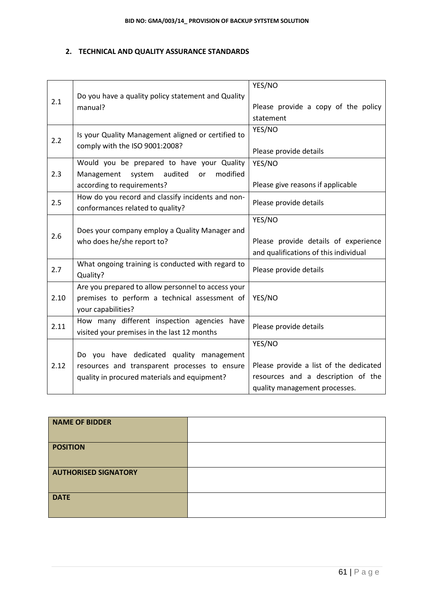#### **2. TECHNICAL AND QUALITY ASSURANCE STANDARDS**

|      |                                                    | YES/NO                                 |
|------|----------------------------------------------------|----------------------------------------|
| 2.1  | Do you have a quality policy statement and Quality |                                        |
|      | manual?                                            | Please provide a copy of the policy    |
|      |                                                    | statement                              |
|      | Is your Quality Management aligned or certified to | YES/NO                                 |
| 2.2  | comply with the ISO 9001:2008?                     |                                        |
|      |                                                    | Please provide details                 |
|      | Would you be prepared to have your Quality         | YES/NO                                 |
| 2.3  | audited<br>modified<br>Management<br>system<br>or  |                                        |
|      | according to requirements?                         | Please give reasons if applicable      |
| 2.5  | How do you record and classify incidents and non-  | Please provide details                 |
|      | conformances related to quality?                   |                                        |
|      |                                                    | YES/NO                                 |
| 2.6  | Does your company employ a Quality Manager and     |                                        |
|      | who does he/she report to?                         | Please provide details of experience   |
|      |                                                    | and qualifications of this individual  |
| 2.7  | What ongoing training is conducted with regard to  |                                        |
|      | Quality?                                           | Please provide details                 |
|      | Are you prepared to allow personnel to access your |                                        |
| 2.10 | premises to perform a technical assessment of      | YES/NO                                 |
|      | your capabilities?                                 |                                        |
| 2.11 | How many different inspection agencies have        |                                        |
|      | visited your premises in the last 12 months        | Please provide details                 |
|      |                                                    | YES/NO                                 |
|      | Do you have dedicated quality management           |                                        |
| 2.12 | resources and transparent processes to ensure      | Please provide a list of the dedicated |
|      | quality in procured materials and equipment?       | resources and a description of the     |
|      |                                                    | quality management processes.          |

| NAME OF BIDDER              |  |
|-----------------------------|--|
| <b>POSITION</b>             |  |
| <b>AUTHORISED SIGNATORY</b> |  |
| <b>DATE</b>                 |  |